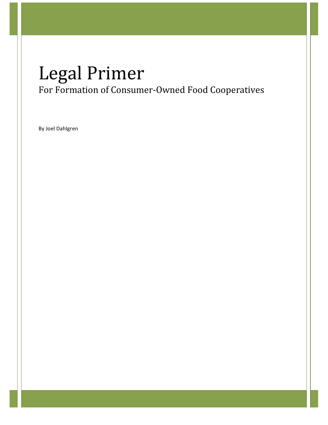# Legal
Primer For Formation of Consumer‐Owned Food Cooperatives

By Joel Dahlgren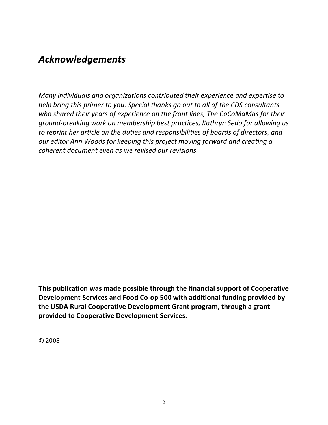# *Acknowledgements*

*Many individuals and organizations contributed their experience and expertise to help bring this primer to you. Special thanks go out to all of the CDS consultants who shared their years of experience on the front lines, The CoCoMaMas for their ground‐breaking work on membership best practices, Kathryn Sedo for allowing us to reprint her article on the duties and responsibilities of boards of directors, and our editor Ann Woods for keeping this project moving forward and creating a coherent document even as we revised our revisions.*

**This publication was made possible through the financial support of Cooperative Development Services and Food Co‐op 500 with additional funding provided by the USDA Rural Cooperative Development Grant program, through a grant provided to Cooperative Development Services.**

©
2008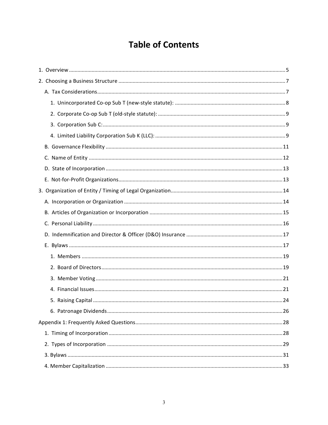# **Table of Contents**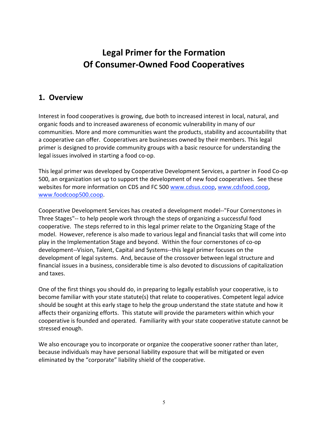# **Legal Primer for the Formation Of Consumer‐Owned Food Cooperatives**

# **1. Overview**

Interest in food cooperatives is growing, due both to increased interest in local, natural, and organic foods and to increased awareness of economic vulnerability in many of our communities. More and more communities want the products, stability and accountability that a cooperative can offer. Cooperatives are businesses owned by their members. This legal primer is designed to provide community groups with a basic resource for understanding the legal issues involved in starting a food co‐op.

This legal primer was developed by Cooperative Development Services, a partner in Food Co‐op 500, an organization set up to support the development of new food cooperatives. See these websites for more information on CDS and FC 500 www.cdsus.coop, www.cdsfood.coop, www.foodcoop500.coop.

Cooperative Development Services has created a development model‐‐"Four Cornerstones in Three Stages"‐‐ to help people work through the steps of organizing a successful food cooperative. The steps referred to in this legal primer relate to the Organizing Stage of the model. However, reference is also made to various legal and financial tasks that will come into play in the Implementation Stage and beyond. Within the four cornerstones of co‐op development‐‐Vision, Talent, Capital and Systems‐‐this legal primer focuses on the development of legal systems. And, because of the crossover between legal structure and financial issues in a business, considerable time is also devoted to discussions of capitalization and taxes.

One of the first things you should do, in preparing to legally establish your cooperative, is to become familiar with your state statute(s) that relate to cooperatives. Competent legal advice should be sought at this early stage to help the group understand the state statute and how it affects their organizing efforts. This statute will provide the parameters within which your cooperative is founded and operated. Familiarity with your state cooperative statute cannot be stressed enough.

We also encourage you to incorporate or organize the cooperative sooner rather than later, because individuals may have personal liability exposure that will be mitigated or even eliminated by the "corporate" liability shield of the cooperative.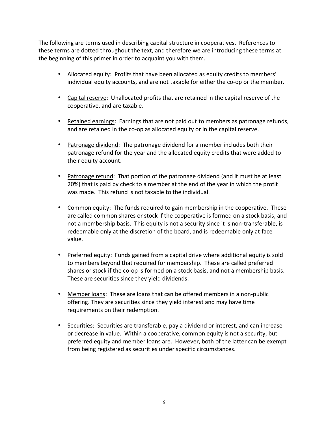The following are terms used in describing capital structure in cooperatives. References to these terms are dotted throughout the text, and therefore we are introducing these terms at the beginning of this primer in order to acquaint you with them.

- Allocated equity: Profits that have been allocated as equity credits to members' individual equity accounts, and are not taxable for either the co‐op or the member.
- Capital reserve: Unallocated profits that are retained in the capital reserve of the cooperative, and are taxable.
- Retained earnings: Earnings that are not paid out to members as patronage refunds, and are retained in the co-op as allocated equity or in the capital reserve.
- Patronage dividend: The patronage dividend for a member includes both their patronage refund for the year and the allocated equity credits that were added to their equity account.
- Patronage refund: That portion of the patronage dividend (and it must be at least 20%) that is paid by check to a member at the end of the year in which the profit was made. This refund is not taxable to the individual.
- Common equity: The funds required to gain membership in the cooperative. These are called common shares or stock if the cooperative is formed on a stock basis, and not a membership basis. This equity is not a security since it is non‐transferable, is redeemable only at the discretion of the board, and is redeemable only at face value.
- Preferred equity: Funds gained from a capital drive where additional equity is sold to members beyond that required for membership. These are called preferred shares or stock if the co-op is formed on a stock basis, and not a membership basis. These are securities since they yield dividends.
- Member loans: These are loans that can be offered members in a non-public offering. They are securities since they yield interest and may have time requirements on their redemption.
- Securities: Securities are transferable, pay a dividend or interest, and can increase or decrease in value. Within a cooperative, common equity is not a security, but preferred equity and member loans are. However, both of the latter can be exempt from being registered as securities under specific circumstances.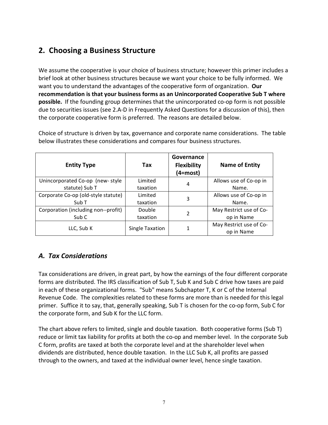# **2. Choosing a Business Structure**

We assume the cooperative is your choice of business structure; however this primer includes a brief look at other business structures because we want your choice to be fully informed. We want you to understand the advantages of the cooperative form of organization. **Our recommendation is that your business forms as an Unincorporated Cooperative Sub T where possible.** If the founding group determines that the unincorporated co-op form is not possible due to securities issues (see 2.A‐D in Frequently Asked Questions for a discussion of this), then the corporate cooperative form is preferred. The reasons are detailed below.

| <b>Entity Type</b>                  | Tax      | Governance<br><b>Flexibility</b><br>(4=most) | <b>Name of Entity</b>   |
|-------------------------------------|----------|----------------------------------------------|-------------------------|
| Unincorporated Co-op (new-style     | Limited  | 4                                            | Allows use of Co-op in  |
| statute) Sub T                      | taxation |                                              | Name.                   |
| Corporate Co-op (old-style statute) | Limited  | 3                                            | Allows use of Co-op in  |
| Sub <sub>T</sub>                    | taxation |                                              | Name.                   |
| Corporation (including non--profit) | Double   | 2                                            | May Restrict use of Co- |
| Sub C                               | taxation |                                              | op in Name              |
| Single Taxation                     |          |                                              | May Restrict use of Co- |
| LLC, Sub K                          |          |                                              | op in Name              |

Choice of structure is driven by tax, governance and corporate name considerations. The table below illustrates these considerations and compares four business structures.

# *A. Tax Considerations*

Tax considerations are driven, in great part, by how the earnings of the four different corporate forms are distributed. The IRS classification of Sub T, Sub K and Sub C drive how taxes are paid in each of these organizational forms. "Sub" means Subchapter T, K
or C of the Internal Revenue Code. The complexities related to these forms are more than is needed for this legal primer. Suffice it to say, that, generally speaking, Sub T is chosen for the co-op form, Sub C for the corporate form, and Sub K for the LLC form.

The chart above refers to limited, single and double taxation. Both cooperative forms (Sub T) reduce or limit tax liability for profits at both the co-op and member level. In the corporate Sub C form, profits are taxed at both the corporate level and at the shareholder level when dividends are distributed, hence double taxation. In the LLC Sub K, all profits are passed through to the owners, and taxed at the individual owner level, hence single taxation.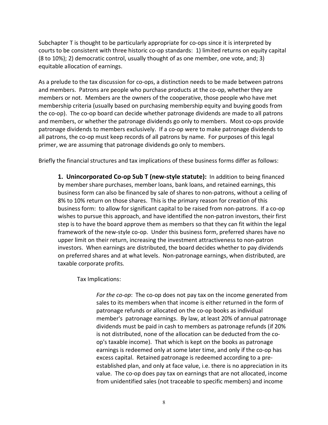Subchapter T is thought to be particularly appropriate for co-ops since it is interpreted by courts to be consistent with three historic co‐op standards: 1) limited returns on equity capital (8 to 10%); 2) democratic control, usually thought of as one member, one vote, and; 3) equitable allocation of earnings.

As a prelude to the tax discussion for co‐ops, a distinction needs to be made between patrons and members. Patrons are people who purchase products at the co‐op, whether they are members or not. Members are the owners of the cooperative, those people who have met membership criteria (usually based on purchasing membership equity and buying goods from the co-op). The co-op board can decide whether patronage dividends are made to all patrons and members, or whether the patronage dividends go only to members. Most co-ops provide patronage dividends to members exclusively. If a co‐op were to make patronage dividends to all patrons, the co‐op must keep records of all patrons by name. For purposes of this legal primer, we are assuming that patronage dividends go only to members.

Briefly the financial structures and tax implications of these business forms differ as follows:

1. Unincorporated Co-op Sub T (new-style statute): In addition to being financed by member share purchases, member loans, bank loans, and retained earnings, this business form can also be financed by sale of shares to non‐patrons, without a ceiling of 8% to 10% return on those shares. This is the primary reason for creation of this business form: to allow for significant capital to be raised from non‐patrons. If a co‐op wishes to pursue this approach, and have identified the non-patron investors, their first step is to have the board approve them as members so that they can fit within the legal framework of the new‐style co‐op. Under this business form, preferred shares have no upper limit on their return, increasing the investment attractiveness to non‐patron investors. When earnings are distributed, the board decides whether to pay dividends on preferred shares and at what levels. Non‐patronage earnings, when distributed, are taxable corporate profits*.*

Tax Implications:

*For the co‐op*: The co‐op does not pay tax on the income generated from sales to its members when that income is either returned in the form of patronage refunds or allocated on the co-op books as individual member's patronage earnings. By law, at least 20% of annual patronage dividends must be paid in cash to members as patronage refunds (if 20% is not distributed, none of the allocation can be deducted from the coop's taxable income). That which is kept on the books as patronage earnings is redeemed only at some later time, and only if the co‐op has excess capital. Retained patronage is redeemed according to a pre‐ established plan, and only at face value, i.e. there is no appreciation in its value. The co‐op does pay tax on earnings that are not allocated, income from unidentified sales (not traceable to specific members) and income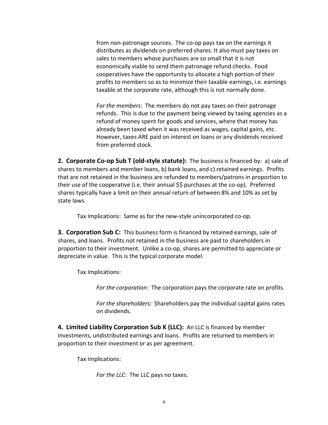from non-patronage sources. The co-op pays tax on the earnings it distributes as dividends on preferred shares. It also must pay taxes on sales to members whose purchases are so small that it is not economically viable to send them patronage refund checks. Food cooperatives have the opportunity to allocate a high portion of their profits to members so as to minimize their taxable earnings, i.e. earnings taxable at the corporate rate, although this is not normally done.

*For the members*: The members do not pay taxes on their patronage refunds. This is due to the payment being viewed by taxing agencies as a refund of money spent for goods and services, where that money has already been taxed when it was received as wages, capital gains, etc. However, taxes ARE paid on interest on loans or any dividends received from preferred stock.

**2. Corporate Co-op Sub T (old-style statute):** The business is financed by: a) sale of shares to members and member loans, b) bank loans, and c) retained earnings. Profits that are not retained in the business are refunded to members/patrons in proportion to their use of the cooperative (i.e. their annual \$\$ purchases at the co-op). Preferred shares typically have a limit on their annual return of between 8% and 10% as set by state laws.

Tax Implications: Same as for the new‐style unincorporated co‐op.

**3. Corporation Sub C:** This business form is financed by retained earnings, sale of shares, and loans. Profits not retained in the business are paid to shareholders in proportion to their investment. Unlike a co‐op, shares are permitted to appreciate or depreciate in value. This is the typical corporate model.

Tax Implications:

*For the corporation:* The corporation pays the corporate rate on profits.

*For the shareholders:* Shareholders pay the individual capital gains rates on dividends.

**4. Limited
Liability Corporation Sub
K (LLC):** An LLC is financed by member investments, undistributed earnings and loans. Profits are returned to members in proportion to their investment or as per agreement.

Tax Implications:

*For the LLC*: The LLC pays no taxes.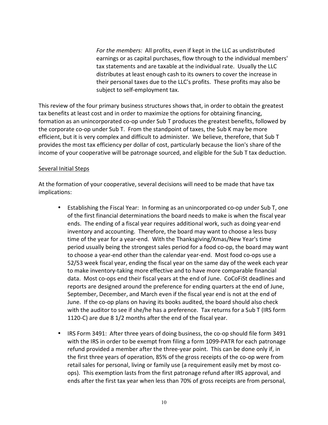*For the members:* All profits, even if kept in the LLC as undistributed earnings or as capital purchases, flow through to the individual members' tax statements and are taxable at the individual rate. Usually the LLC distributes at least enough cash to its owners to cover the increase in their personal taxes due to the LLC's profits. These profits may also be subject to self‐employment tax.

This review of the four primary business structures shows that, in order to obtain the greatest tax benefits at least cost and in order to maximize the options for obtaining financing, formation as an unincorporated co-op under Sub T produces the greatest benefits, followed by the corporate co-op under Sub T. From the standpoint of taxes, the Sub K may be more efficient, but it is very complex and difficult to administer. We believe, therefore, that Sub T provides the most tax efficiency per dollar of cost, particularly because the lion's share of the income of your cooperative will be patronage sourced, and eligible for the Sub T tax deduction.

#### Several Initial Steps

At the formation of your cooperative, several decisions will need to be made that have tax implications:

- Establishing the Fiscal Year: In forming as an unincorporated co-op under Sub T, one of the first financial determinations the board needs to make is when the fiscal year ends. The ending of a fiscal year requires additional work, such as doing year‐end inventory and accounting. Therefore, the board may want to choose a less busy time of the year for a year‐end. With the Thanksgiving/Xmas/New Year's time period usually being the strongest sales period for a food co‐op, the board may want to choose a year‐end other than the calendar year‐end. Most food co‐ops use a 52/53 week fiscal year, ending the fiscal year on the same day of the week each year to make inventory‐taking more effective and to have more comparable financial data. Most co-ops end their fiscal years at the end of June. CoCoFiSt deadlines and reports are designed around the preference for ending quarters at the end of June, September, December, and March even if the fiscal year end is not at the end of June. If the co‐op plans on having its books audited, the board should also check with the auditor to see if she/he has a preference. Tax returns for a Sub T (IRS form 1120‐C) are due 8 1/2 months after the end of the fiscal year.
- IRS Form 3491: After three years of doing business, the co-op should file form 3491 with the IRS in order to be exempt from filing a form 1099-PATR for each patronage refund provided a member after the three‐year point. This can be done only if, in the first three years of operation, 85% of the gross receipts of the co‐op were from retail sales for personal, living or family use (a requirement easily met by most co‐ ops). This exemption lasts from the first patronage refund after IRS approval, and ends after the first tax year when less than 70% of gross receipts are from personal,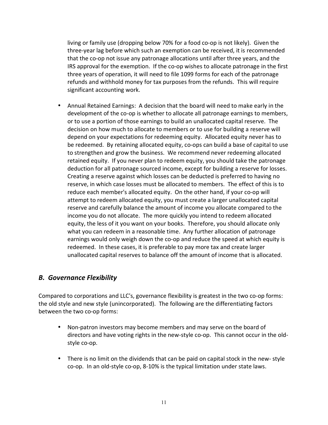living or family use (dropping below 70% for a food co-op is not likely). Given the three‐year lag before which such an exemption can be received, it is recommended that the co‐op not issue any patronage allocations until after three years, and the IRS approval for the exemption. If the co‐op wishes to allocate patronage in the first three years of operation, it will need to file 1099 forms for each of the patronage refunds and withhold money for tax purposes from the refunds. This will require significant accounting work.

• Annual Retained Earnings: A decision that the board will need to make early in the development of the co‐op is whether to allocate all patronage earnings to members, or to use a portion of those earnings to build an unallocated capital reserve. The decision on how much to allocate to members or to use for building a reserve will depend on your expectations for redeeming equity. Allocated equity never has to be redeemed. By retaining allocated equity, co-ops can build a base of capital to use to strengthen and grow the business. We recommend never redeeming allocated retained equity. If you never plan to redeem equity, you should take the patronage deduction for all patronage sourced income, except for building a reserve for losses. Creating a reserve against which losses can be deducted is preferred to having no reserve, in which case losses must be allocated to members. The effect of this is to reduce each member's allocated equity. On the other hand, if your co‐op will attempt to redeem allocated equity, you must create a larger unallocated capital reserve and carefully balance the amount of income you allocate compared to the income you do not allocate. The more quickly you intend to redeem allocated equity, the less of it you want on your books. Therefore, you should allocate only what you can redeem in a reasonable time. Any further allocation of patronage earnings would only weigh down the co-op and reduce the speed at which equity is redeemed. In these cases, it is preferable to pay more tax and create larger unallocated capital reserves to balance off the amount of income that is allocated.

### *B. Governance Flexibility*

Compared to corporations and LLC's, governance flexibility is greatest in the two co-op forms: the old style and new style (unincorporated). The following are the differentiating factors between the two co‐op forms:

- Non-patron investors may become members and may serve on the board of directors and have voting rights in the new-style co-op. This cannot occur in the oldstyle co‐op.
- There is no limit on the dividends that can be paid on capital stock in the new-style co‐op. In an old‐style co‐op, 8‐10% is the typical limitation under state laws.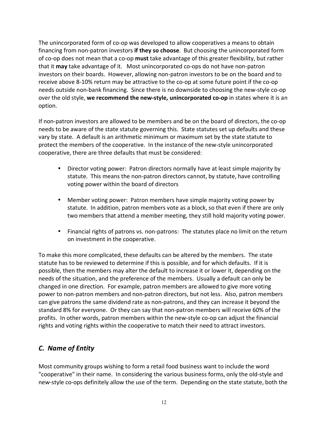The unincorporated form of co‐op was developed to allow cooperatives a means to obtain financing from non‐patron investors **if they so choose**. But choosing the unincorporated form of co‐op does not mean that a co‐op **must** take advantage of this greater flexibility, but rather that it **may** take advantage of it. Most unincorporated co‐ops do not have non‐patron investors on their boards. However, allowing non‐patron investors to be on the board and to receive above 8‐10% return may be attractive to the co‐op at some future point if the co‐op needs outside non‐bank financing. Since there is no downside to choosing the new‐style co‐op over the old style, **we recommend the new‐style, unincorporated co‐op** in states where it is an option.

If non‐patron investors are allowed to be members and be on the board of directors, the co‐op needs to be aware of the state statute governing this. State statutes set up defaults and these vary by state. A default is an arithmetic minimum or maximum set by the state statute to protect the members of the cooperative. In the instance of the new‐style unincorporated cooperative, there are three defaults that must be considered:

- Director voting power: Patron directors normally have at least simple majority by statute. This means the non‐patron directors cannot, by statute, have controlling voting power within the board of directors
- Member voting power: Patron members have simple majority voting power by statute. In addition, patron members vote as a block, so that even if there are only two members that attend a member meeting, they still hold majority voting power.
- Financial rights of patrons vs. non-patrons: The statutes place no limit on the return on investment in the cooperative.

To make this more complicated, these defaults can be altered by the members. The state statute has to be reviewed to determine if this is possible, and for which defaults. If it is possible, then the members may alter the default to increase it or lower it, depending on the needs of the situation, and the preference of the members. Usually a default can only be changed in one direction. For example, patron members are allowed to give more voting power to non‐patron members and non‐patron directors, but not less. Also, patron members can give patrons the same dividend rate as non‐patrons, and they can increase it beyond the standard 8% for everyone. Or they can say that non‐patron members will receive 60% of the profits. In other words, patron members within the new‐style co‐op can adjust the financial rights and voting rights within the cooperative to match their need to attract investors.

# *C. Name of Entity*

Most community groups wishing to form a retail food business want to include the word "cooperative" in their name. In considering the various business forms, only the old‐style and new-style co-ops definitely allow the use of the term. Depending on the state statute, both the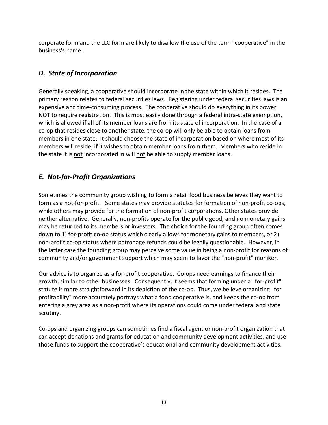corporate form and the LLC form are likely to disallow the use of the term "cooperative" in the business's name.

# *D. State of Incorporation*

Generally speaking, a cooperative should incorporate in the state within which it resides. The primary reason relates to federal securities laws. Registering under federal securities laws is an expensive and time-consuming process. The cooperative should do everything in its power NOT to require registration. This is most easily done through a federal intra‐state exemption, which is allowed if all of its member loans are from its state of incorporation. In the case of a co‐op that resides close to another state, the co‐op will only be able to obtain loans from members in one state. It should choose the state of incorporation based on where most of its members will reside, if it wishes to obtain member loans from them. Members who reside in the state it is not incorporated in will not be able to supply member loans.

# *E. Not‐for‐Profit Organizations*

Sometimes the community group wishing to form a retail food business believes they want to form as a not-for-profit. Some states may provide statutes for formation of non-profit co-ops, while others may provide for the formation of non-profit corporations. Other states provide neither alternative. Generally, non‐profits operate for the public good, and no monetary gains may be returned to its members or investors. The choice for the founding group often comes down to 1) for-profit co-op status which clearly allows for monetary gains to members, or 2) non‐profit co‐op status where patronage refunds could be legally questionable. However, in the latter case the founding group may perceive some value in being a non‐profit for reasons of community and/or government support which may seem to favor the "non‐profit" moniker.

Our advice is to organize as a for‐profit cooperative. Co‐ops need earnings to finance their growth, similar to other businesses. Consequently, it seems that forming under a "for‐profit" statute is more straightforward in its depiction of the co-op. Thus, we believe organizing "for profitability" more accurately portrays what a food cooperative is, and keeps the co‐op from entering a grey area as a non‐profit where its operations could come under federal and state scrutiny.

Co‐ops and organizing groups can sometimes find a fiscal agent or non‐profit organization that can accept donations and grants for education and community development activities, and use those funds to support the cooperative's educational and community development activities.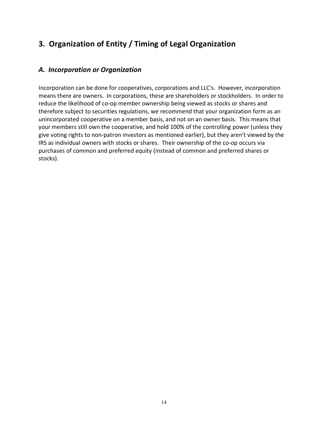# **3. Organization of Entity / Timing of Legal Organization**

### *A. Incorporation or Organization*

Incorporation can be done for cooperatives, corporations and LLC's. However, incorporation means there are owners. In corporations, these are shareholders or stockholders. In order to reduce the likelihood of co‐op member ownership being viewed as stocks or shares and therefore subject to securities regulations, we recommend that your organization form as an unincorporated cooperative on a member basis, and not on an owner basis. This means that your members still own the cooperative, and hold 100% of the controlling power (unless they give voting rights to non‐patron investors as mentioned earlier), but they aren't viewed by the IRS as individual owners with stocks or shares. Their ownership of the co‐op occurs via purchases of common and preferred equity (instead of common and preferred shares or stocks).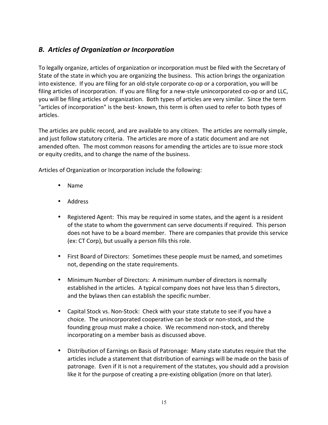# *B. Articles of Organization or Incorporation*

To legally organize, articles of organization or incorporation must be filed with the Secretary of State of the state in which you are organizing the business. This action brings the organization into existence. If you are filing for an old‐style corporate co‐op or a corporation, you will be filing articles of incorporation. If you are filing for a new-style unincorporated co-op or and LLC, you will be filing articles of organization. Both types of articles are very similar. Since the term "articles of incorporation" is the best‐ known, this term is often used to refer to both types of articles.

The articles are public record, and are available to any citizen. The articles are normally simple, and just follow statutory criteria. The articles are more of a static document and are not amended often. The most common reasons for amending the articles are to issue more stock or equity credits, and to change the name of the business.

Articles of Organization or Incorporation include the following:

- Name
- Address
- Registered Agent: This may be required in some states, and the agent is a resident of the state to whom the government can serve documents if required. This person does not have to be a board member. There are companies that provide this service (ex: CT Corp), but usually a person fills this role.
- First Board of Directors: Sometimes these people must be named, and sometimes not, depending on the state requirements.
- Minimum Number of Directors: A minimum number of directors is normally established in the articles. A typical company does not have less than 5 directors, and the bylaws then can establish the specific number.
- Capital Stock vs. Non-Stock: Check with your state statute to see if you have a choice. The unincorporated cooperative can be stock or non‐stock, and the founding group must make a choice. We recommend non‐stock, and thereby incorporating on a member basis as discussed above.
- Distribution of Earnings on Basis of Patronage: Many state statutes require that the articles include a statement that distribution of earnings will be made on the basis of patronage. Even if it is not a requirement of the statutes, you should add a provision like it for the purpose of creating a pre-existing obligation (more on that later).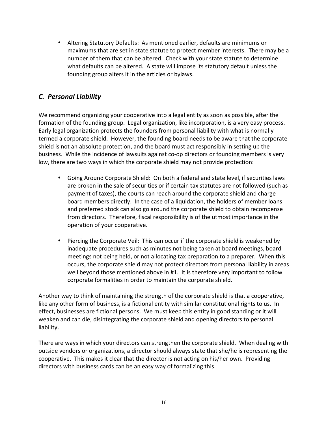• Altering Statutory Defaults: As mentioned earlier, defaults are minimums or maximums that are set in state statute to protect member interests. There may be a number of them that can be altered. Check with your state statute to determine what defaults can be altered. A state will impose its statutory default unless the founding group alters it in the articles or bylaws.

# *C. Personal Liability*

We recommend organizing your cooperative into a legal entity as soon as possible, after the formation of the founding group. Legal organization, like incorporation, is a very easy process. Early legal organization protects the founders from personal liability with what is normally termed a corporate shield. However, the founding board needs to be aware that the corporate shield is not an absolute protection, and the board must act responsibly in setting up the business. While the incidence of lawsuits against co‐op directors or founding members is very low, there are two ways in which the corporate shield may not provide protection:

- Going Around Corporate Shield: On both a federal and state level, if securities laws are broken in the sale of securities or if certain tax statutes are not followed (such as payment of taxes), the courts can reach around the corporate shield and charge board members directly. In the case of a liquidation, the holders of member loans and preferred stock can also go around the corporate shield to obtain recompense from directors. Therefore, fiscal responsibility is of the utmost importance in the operation of your cooperative.
- Piercing the Corporate Veil: This can occur if the corporate shield is weakened by inadequate procedures such as minutes not being taken at board meetings, board meetings not being held, or not allocating tax preparation to a preparer. When this occurs, the corporate shield may not protect directors from personal liability in areas well beyond those mentioned above in #1. It is therefore very important to follow corporate formalities in order to maintain the corporate shield.

Another way to think of maintaining the strength of the corporate shield is that a cooperative, like any other form of business, is a fictional entity with similar constitutional rights to us. In effect, businesses are fictional persons. We must keep this entity in good standing or it will weaken and can die, disintegrating the corporate shield and opening directors to personal liability.

There are ways in which your directors can strengthen the corporate shield. When dealing with outside vendors or organizations, a director should always state that she/he is representing the cooperative. This makes it clear that the director is not acting on his/her own. Providing directors with business cards can be an easy way of formalizing this.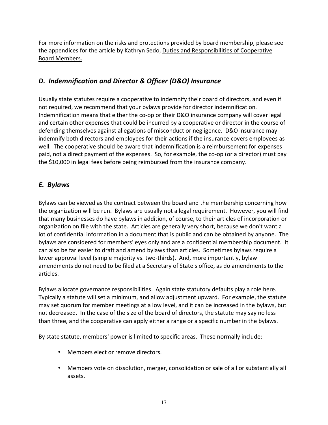For more information on the risks and protections provided by board membership, please see the appendices for the article by Kathryn Sedo, Duties and Responsibilities of Cooperative Board Members.

# *D. Indemnification and Director & Officer (D&O) Insurance*

Usually state statutes require a cooperative to indemnify their board of directors, and even if not required, we recommend that your bylaws provide for director indemnification. Indemnification means that either the co‐op or their D&O insurance company will cover legal and certain other expenses that could be incurred by a cooperative or director in the course of defending themselves against allegations of misconduct or negligence. D&O insurance may indemnify both directors and employees for their actions if the insurance covers employees as well. The cooperative should be aware that indemnification is a reimbursement for expenses paid, not a direct payment of the expenses. So, for example, the co‐op (or a director) must pay the \$10,000 in legal fees before being reimbursed from the insurance company.

# *E. Bylaws*

Bylaws can be viewed as the contract between the board and the membership concerning how the organization will be run. Bylaws are usually not a legal requirement. However, you will find that many businesses do have bylaws in addition, of course, to their articles of incorporation or organization on file with the state. Articles are generally very short, because we don't want a lot of confidential information in a document that is public and can be obtained by anyone. The bylaws are considered for members' eyes only and are a confidential membership document. It can also be far easier to draft and amend bylaws than articles. Sometimes bylaws require a lower approval level (simple majority vs. two-thirds). And, more importantly, bylaw amendments do not need to be filed at a Secretary of State's office, as do amendments to the articles.

Bylaws allocate governance responsibilities. Again state statutory defaults play a role here. Typically a statute will set a minimum, and allow adjustment upward. For example, the statute may set quorum for member meetings at a low level, and it can be increased in the bylaws, but not decreased. In the case of the size of the board of directors, the statute may say no less than three, and the cooperative can apply either a range or a specific number in the bylaws.

By state statute, members' power is limited to specific areas. These normally include:

- Members elect or remove directors.
- Members vote on dissolution, merger, consolidation or sale of all or substantially all assets.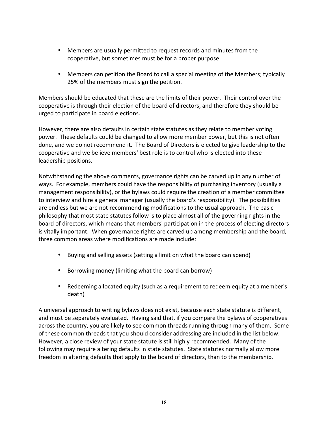- Members are usually permitted to request records and minutes from the cooperative, but sometimes must be for a proper purpose.
- Members can petition the Board to call a special meeting of the Members; typically 25% of the members must sign the petition.

Members should be educated that these are the limits of their power. Their control over the cooperative is through their election of the board of directors, and therefore they should be urged to participate in board elections.

However, there are also defaults in certain state statutes as they relate to member voting power. These defaults could be changed to allow more member power, but this is not often done, and we do not recommend it. The Board of Directors is elected to give leadership to the cooperative and we believe members' best role is to control who is elected into these leadership positions.

Notwithstanding the above comments, governance rights can be carved up in any number of ways. For example, members could have the responsibility of purchasing inventory (usually a management responsibility), or the bylaws could require the creation of a member committee to interview and hire a general manager (usually the board's responsibility). The possibilities are endless but we are not recommending modifications to the usual approach. The basic philosophy that most state statutes follow is to place almost all of the governing rights in the board of directors, which means that members' participation in the process of electing directors is vitally important. When governance rights are carved up among membership and the board, three common areas where modifications are made include:

- Buying and selling assets (setting a limit on what the board can spend)
- Borrowing money (limiting what the board can borrow)
- Redeeming allocated equity (such as a requirement to redeem equity at a member's death)

A universal approach to writing bylaws does not exist, because each state statute is different, and must be separately evaluated. Having said that, if you compare the bylaws of cooperatives across the country, you are likely to see common threads running through many of them. Some of these common threads that you should consider addressing are included in the list below. However, a close review of your state statute is still highly recommended. Many of the following may require altering defaults in state statutes. State statutes normally allow more freedom in altering defaults that apply to the board of directors, than to the membership.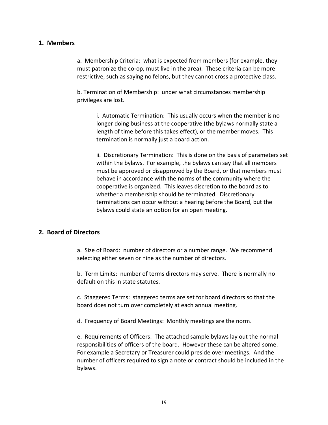#### **1. Members**

a. Membership Criteria: what is expected from members (for example, they must patronize the co‐op, must live in the area). These criteria can be more restrictive, such as saying no felons, but they cannot cross a protective class.

b. Termination of Membership: under what circumstances membership privileges are lost.

> i. Automatic Termination: This usually occurs when the member is no longer doing business at the cooperative (the bylaws normally state a length of time before this takes effect), or the member moves. This termination is normally just a board action.

ii. Discretionary Termination: This is done on the basis of parameters set within the bylaws. For example, the bylaws can say that all members must be approved or disapproved by the Board, or that members must behave in accordance with the norms of the community where the cooperative is organized. This leaves discretion to the board as to whether a membership should be terminated. Discretionary terminations can occur without a hearing before the Board, but the bylaws could state an option for an open meeting.

#### **2. Board
of Directors**

a. Size of Board: number of directors or a number range. We recommend selecting either seven or nine as the number of directors.

b. Term Limits: number of terms directors may serve. There is normally no default on this in state statutes.

c. Staggered Terms: staggered terms are set for board directors so that the board does not turn over completely at each annual meeting.

d. Frequency of Board Meetings: Monthly meetings are the norm.

e. Requirements of Officers: The attached sample bylaws lay out the normal responsibilities of officers of the board. However these can be altered some. For example a Secretary or Treasurer could preside over meetings. And the number of officers required to sign a note or contract should be included in the bylaws.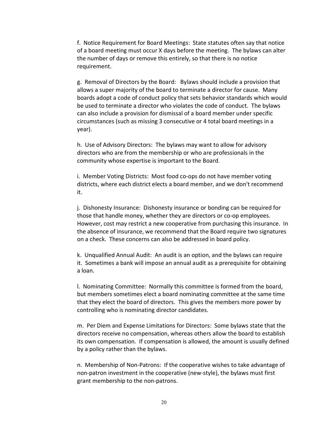f. Notice Requirement for Board Meetings: State statutes often say that notice of a board meeting must occur X days before the meeting. The bylaws can alter the number of days or remove this entirely, so that there is no notice requirement.

g. Removal of Directors by the Board: Bylaws should include a provision that allows a super majority of the board to terminate a director for cause. Many boards adopt a code of conduct policy that sets behavior standards which would be used to terminate a director who violates the code of conduct. The bylaws can also include a provision for dismissal of a board member under specific circumstances (such as missing 3 consecutive or 4 total board meetings in a year).

h. Use of Advisory Directors: The bylaws may want to allow for advisory directors who are from the membership or who are professionals in the community whose expertise is important to the Board.

i. Member Voting Districts: Most food co-ops do not have member voting districts, where each district elects a board member, and we don't recommend it.

j. Dishonesty Insurance: Dishonesty insurance or bonding can be required for those that handle money, whether they are directors or co‐op employees. However, cost may restrict a new cooperative from purchasing this insurance. In the absence of insurance, we recommend that the Board require two signatures on a check. These concerns can also be addressed in board policy.

k. Unqualified Annual Audit: An audit is an option, and the bylaws can require it. Sometimes a bank will impose an annual audit as a prerequisite for obtaining a loan.

l. Nominating Committee: Normally this committee is formed from the board, but members sometimes elect a board nominating committee at the same time that they elect the board of directors. This gives the members more power by controlling who is nominating director candidates.

m. Per Diem and Expense Limitations for Directors: Some bylaws state that the directors receive no compensation, whereas others allow the board to establish its own compensation. If compensation is allowed, the amount is usually defined by a policy rather than the bylaws.

n. Membership of Non‐Patrons: If the cooperative wishes to take advantage of non‐patron investment in the cooperative (new‐style), the bylaws must first grant membership to the non‐patrons.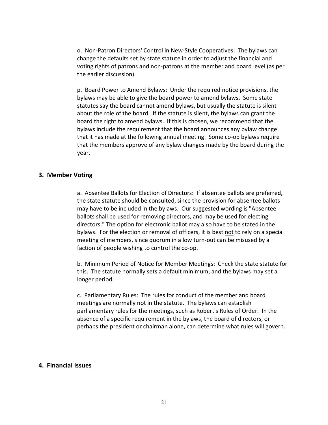o. Non‐Patron Directors' Control in New‐Style Cooperatives: The bylaws can change the defaults set by state statute in order to adjust the financial and voting rights of patrons and non‐patrons at the member and board level (as per the earlier discussion).

p. Board Power to Amend Bylaws: Under the required notice provisions, the bylaws may be able to give the board power to amend bylaws. Some state statutes say the board cannot amend bylaws, but usually the statute is silent about the role of the board. If the statute is silent, the bylaws can grant the board the right to amend bylaws. If this is chosen, we recommend that the bylaws include the requirement that the board announces any bylaw change that it has made at the following annual meeting. Some co-op bylaws require that the members approve of any bylaw changes made by the board during the year.

#### **3. Member Voting**

a. Absentee Ballots for Election of Directors: If absentee ballots are preferred, the state statute should be consulted, since the provision for absentee ballots may have to be included in the bylaws. Our suggested wording is "Absentee ballots shall be used for removing directors, and may be used for electing directors." The option for electronic ballot may also have to be stated in the bylaws. For the election or removal of officers, it is best not to rely on a special meeting of members, since quorum in a low turn‐out can be misused by a faction of people wishing to control the co-op.

b. Minimum Period of Notice for Member Meetings: Check the state statute for this. The statute normally sets a default minimum, and the bylaws may set a longer period.

c. Parliamentary Rules: The rules for conduct of the member and board meetings are normally not in the statute. The bylaws can establish parliamentary rules for the meetings, such as Robert's Rules of Order. In the absence of a specific requirement in the bylaws, the board of directors, or perhaps the president or chairman alone, can determine what rules will govern.

#### **4. Financial Issues**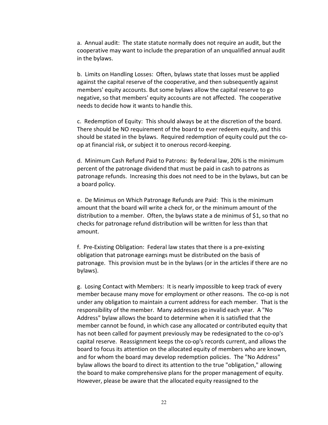a. Annual audit: The state statute normally does not require an audit, but the cooperative may want to include the preparation of an unqualified annual audit in the bylaws.

b. Limits on Handling Losses: Often, bylaws state that losses must be applied against the capital reserve of the cooperative, and then subsequently against members' equity accounts. But some bylaws allow the capital reserve to go negative, so that members' equity accounts are not affected. The cooperative needs to decide how it wants to handle this.

c. Redemption of Equity: This should always be at the discretion of the board. There should be NO requirement of the board to ever redeem equity, and this should be stated in the bylaws. Required redemption of equity could put the co‐ op at financial risk, or subject it to onerous record‐keeping.

d. Minimum Cash Refund Paid to Patrons: By federal law, 20% is the minimum percent of the patronage dividend that must be paid in cash to patrons as patronage refunds. Increasing this does not need to be in the bylaws, but can be a board policy.

e. De Minimus on Which Patronage Refunds are Paid: This is the minimum amount that the board will write a check for, or the minimum amount of the distribution to a member. Often, the bylaws state a de minimus of \$1, so that no checks for patronage refund distribution will be written for less than that amount.

f. Pre‐Existing Obligation: Federal law states that there is a pre‐existing obligation that patronage earnings must be distributed on the basis of patronage. This provision must be in the bylaws (or in the articles if there are no bylaws).

g. Losing Contact with Members: It is nearly impossible to keep track of every member because many move for employment or other reasons. The co-op is not under any obligation to maintain a current address for each member. That is the responsibility of the member. Many addresses go invalid each year. A "No Address" bylaw allows the board to determine when it is satisfied that the member cannot be found, in which case any allocated or contributed equity that has not been called for payment previously may be redesignated to the co-op's capital reserve. Reassignment keeps the co‐op's records current, and allows the board to focus its attention on the allocated equity of members who are known, and for whom the board may develop redemption policies. The "No Address" bylaw allows the board to direct its attention to the true "obligation," allowing the board to make comprehensive plans for the proper management of equity. However, please be aware that the allocated equity reassigned to the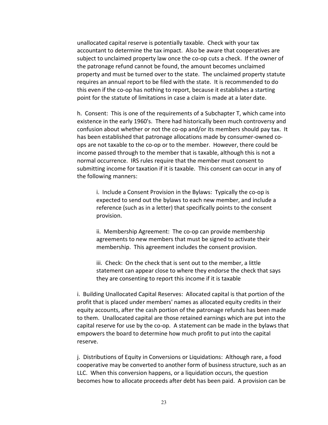unallocated capital reserve is potentially taxable. Check with your tax accountant to determine the tax impact. Also be aware that cooperatives are subject to unclaimed property law once the co-op cuts a check. If the owner of the patronage refund cannot be found, the amount becomes unclaimed property and must be turned over to the state. The unclaimed property statute requires an annual report to be filed with the state. It is recommended to do this even if the co‐op has nothing to report, because it establishes a starting point for the statute of limitations in case a claim is made at a later date.

h. Consent: This is one of the requirements of a Subchapter T, which came into existence in the early 1960's. There had historically been much controversy and confusion about whether or not the co-op and/or its members should pay tax. It has been established that patronage allocations made by consumer‐owned co‐ ops are not taxable to the co‐op or to the member. However, there could be income passed through to the member that is taxable, although this is not a normal occurrence. IRS rules require that the member must consent to submitting income for taxation if it is taxable. This consent can occur in any of the following manners:

i. Include a Consent Provision in the Bylaws: Typically the co‐op is expected to send out the bylaws to each new member, and include a reference (such as in a letter) that specifically points to the consent provision.

ii. Membership Agreement: The co-op can provide membership agreements to new members that must be signed to activate their membership. This agreement includes the consent provision.

iii. Check: On the check that is sent out to the member, a little statement can appear close to where they endorse the check that says they are consenting to report this income if it is taxable

i. Building Unallocated Capital Reserves: Allocated capital is that portion of the profit that is placed under members' names as allocated equity credits in their equity accounts, after the cash portion of the patronage refunds has been made to them. Unallocated capital are those retained earnings which are put into the capital reserve for use by the co-op. A statement can be made in the bylaws that empowers the board to determine how much profit to put into the capital reserve.

j. Distributions of Equity in Conversions or Liquidations: Although rare, a food cooperative may be converted to another form of business structure, such as an LLC. When this conversion happens, or a liquidation occurs, the question becomes how to allocate proceeds after debt has been paid. A provision can be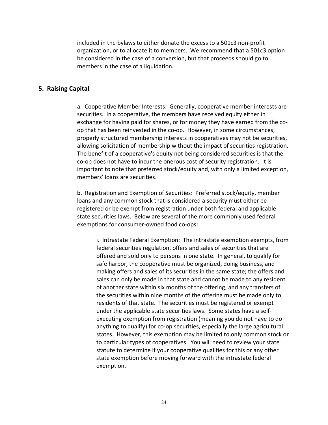included in the bylaws to either donate the excess to a 501c3 non‐profit organization, or to allocate it to members. We recommend that a 501c3 option be considered in the case of a conversion, but that proceeds should go to members in the case of a liquidation.

#### **5. Raising Capital**

a. Cooperative Member Interests: Generally, cooperative member interests are securities. In a cooperative, the members have received equity either in exchange for having paid for shares, or for money they have earned from the coop that has been reinvested in the co‐op. However, in some circumstances, properly structured membership interests in cooperatives may not be securities, allowing solicitation of membership without the impact of securities registration. The benefit of a cooperative's equity not being considered securities is that the co-op does not have to incur the onerous cost of security registration. It is important to note that preferred stock/equity and, with only a limited exception, members' loans are securities.

b. Registration and Exemption of Securities: Preferred stock/equity, member loans and any common stock that is considered a security must either be registered or be exempt from registration under both federal and applicable state securities laws. Below are several of the more commonly used federal exemptions for consumer‐owned food co‐ops:

i. Intrastate Federal Exemption: The intrastate exemption exempts, from federal securities regulation, offers and sales of securities that are offered and sold only to persons in one state. In general, to qualify for safe harbor, the cooperative must be organized, doing business, and making offers and sales of its securities in the same state; the offers and sales can only be made in that state and cannot be made to any resident of another state within six months of the offering; and any transfers of the securities within nine months of the offering must be made only to residents of that state. The securities must be registered or exempt under the applicable state securities laws. Some states have a self‐ executing exemption from registration (meaning you do not have to do anything to qualify) for co‐op securities, especially the large agricultural states. However, this exemption may be limited to only common stock or to particular types of cooperatives. You will need to review your state statute to determine if your cooperative qualifies for this or any other state exemption before moving forward with the intrastate federal exemption.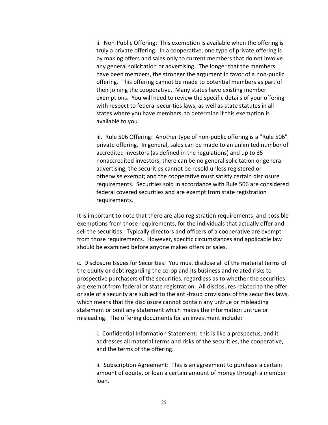ii. Non‐Public Offering: This exemption is available when the offering is truly a private offering. In a cooperative, one type of private offering is by making offers and sales only to current members that do not involve any general solicitation or advertising. The longer that the members have been members, the stronger the argument in favor of a non-public offering. This offering cannot be made to potential members as part of their joining the cooperative. Many states have existing member exemptions. You will need to review the specific details of your offering with respect to federal securities laws, as well as state statutes in all states where you have members, to determine if this exemption is available to you.

iii. Rule 506 Offering: Another type of non‐public offering is a "Rule 506" private offering. In general, sales can be made to an unlimited number of accredited investors (as defined in the regulations) and up to 35 nonaccredited investors; there can be no general solicitation or general advertising; the securities cannot be resold unless registered or otherwise exempt; and the cooperative must satisfy certain disclosure requirements. Securities sold in accordance with Rule 506 are considered federal covered securities and are exempt from state registration requirements.

It is important to note that there are also registration requirements, and possible exemptions from those requirements, for the individuals that actually offer and sell the securities. Typically directors and officers of a cooperative are exempt from those requirements. However, specific circumstances and applicable law should be examined before anyone makes offers or sales.

c. Disclosure Issues for Securities: You must disclose all of the material terms of the equity or debt regarding the co‐op and its business and related risks to prospective purchasers of the securities, regardless as to whether the securities are exempt from federal or state registration. All disclosures related to the offer or sale of a security are subject to the anti‐fraud provisions of the securities laws, which means that the disclosure cannot contain any untrue or misleading statement or omit any statement which makes the information untrue or misleading. The offering documents for an investment include:

i. Confidential Information Statement: this is like a prospectus, and it addresses all material terms and risks of the securities, the cooperative, and the terms of the offering.

ii. Subscription Agreement: This is an agreement to purchase a certain amount of equity, or loan a certain amount of money through a member loan.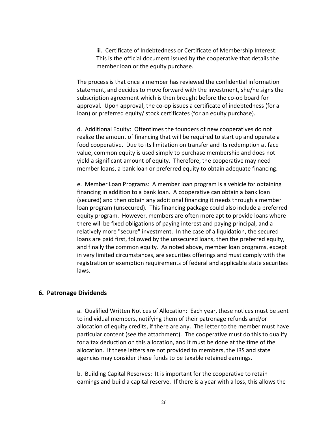iii. Certificate of Indebtedness or Certificate of Membership Interest: This is the official document issued by the cooperative that details the member loan or the equity purchase.

The process is that once a member has reviewed the confidential information statement, and decides to move forward with the investment, she/he signs the subscription agreement which is then brought before the co-op board for approval. Upon approval, the co‐op issues a certificate of indebtedness (for a loan) or preferred equity/ stock certificates (for an equity purchase).

d. Additional Equity: Oftentimes the founders of new cooperatives do not realize the amount of financing that will be required to start up and operate a food cooperative. Due to its limitation on transfer and its redemption at face value, common equity is used simply to purchase membership and does not yield a significant amount of equity. Therefore, the cooperative may need member loans, a bank loan or preferred equity to obtain adequate financing.

e. Member Loan Programs: A member loan program is a vehicle for obtaining financing in addition to a bank loan. A cooperative can obtain a bank loan (secured) and then obtain any additional financing it needs through a member loan program (unsecured). This financing package could also include a preferred equity program. However, members are often more apt to provide loans where there will be fixed obligations of paying interest and paying principal, and a relatively more "secure" investment. In the case of a liquidation, the secured loans are paid first, followed by the unsecured loans, then the preferred equity, and finally the common equity. As noted above, member loan programs, except in very limited circumstances, are securities offerings and must comply with the registration or exemption requirements of federal and applicable state securities laws.

#### **6. Patronage Dividends**

a. Qualified Written Notices of Allocation: Each year, these notices must be sent to individual members, notifying them of their patronage refunds and/or allocation of equity credits, if there are any. The letter to the member must have particular content (see the attachment). The cooperative must do this to qualify for a tax deduction on this allocation, and it must be done at the time of the allocation. If these letters are not provided to members, the IRS and state agencies may consider these funds to be taxable retained earnings.

b. Building Capital Reserves: It is important for the cooperative to retain earnings and build a capital reserve. If there is a year with a loss, this allows the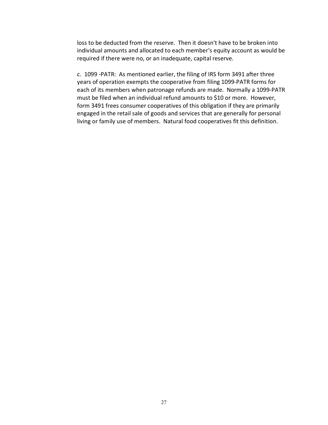loss to be deducted from the reserve. Then it doesn't have to be broken into individual amounts and allocated to each member's equity account as would be required if there were no, or an inadequate, capital reserve.

c. 1099 ‐PATR: As mentioned earlier, the filing of IRS form 3491 after three years of operation exempts the cooperative from filing 1099‐PATR forms for each of its members when patronage refunds are made. Normally a 1099‐PATR must be filed when an individual refund amounts to \$10 or more. However, form 3491 frees consumer cooperatives of this obligation if they are primarily engaged in the retail sale of goods and services that are generally for personal living or family use of members. Natural food cooperatives fit this definition.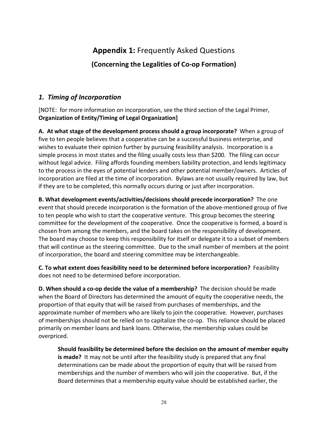# **Appendix 1:** Frequently Asked Questions

**(Concerning the Legalities of Co‐op Formation)**

# *1. Timing of Incorporation*

[NOTE: for more information on incorporation, see the third section of the Legal Primer, **Organization of Entity/Timing of Legal Organization]**

**A. At what stage of the development process should a group incorporate?** When a group of five to ten people believes that a cooperative can be a successful business enterprise, and wishes to evaluate their opinion further by pursuing feasibility analysis. Incorporation is a simple process in most states and the filing usually costs less than \$200. The filing can occur without legal advice. Filing affords founding members liability protection, and lends legitimacy to the process in the eyes of potential lenders and other potential member/owners. Articles of incorporation are filed at the time of incorporation. Bylaws are not usually required by law, but if they are to be completed, this normally occurs during or just after incorporation.

**B. What development events/activities/decisions should precede incorporation?** The one event that should precede incorporation is the formation of the above-mentioned group of five to ten people who wish to start the cooperative venture. This group becomes the steering committee for the development of the cooperative. Once the cooperative is formed, a board is chosen from among the members, and the board takes on the responsibility of development. The board may choose to keep this responsibility for itself or delegate it to a subset of members that will continue as the steering committee. Due to the small number of members at the point of incorporation, the board and steering committee may be interchangeable.

**C. To what extent does feasibility need to be determined before incorporation?** Feasibility does not need to be determined before incorporation.

**D. When should a co‐op decide the value of a membership?** The decision should be made when the Board of Directors has determined the amount of equity the cooperative needs, the proportion of that equity that will be raised from purchases of memberships, and the approximate number of members who are likely to join the cooperative*.* However, purchases of memberships should not be relied on to capitalize the co-op. This reliance should be placed primarily on member loans and bank loans. Otherwise, the membership values could be overpriced.

**Should feasibility be determined before the decision on the amount of member equity is made?** It may not be until after the feasibility study is prepared that any final determinations can be made about the proportion of equity that will be raised from memberships and the number of members who will join the cooperative. But, if the Board determines that a membership equity value should be established earlier, the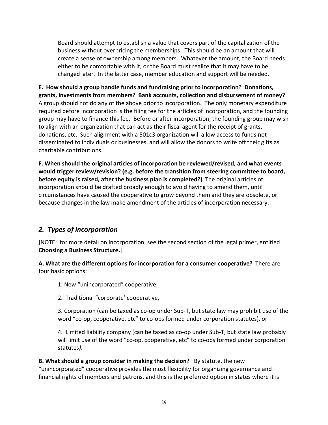Board should attempt to establish a value that covers part of the capitalization of the business without overpricing the memberships. This should be an amount that will create a sense of ownership among members. Whatever the amount, the Board needs either to be comfortable with it, or the Board must realize that it may have to be changed later. In the latter case, member education and support will be needed.

**E. How should a group handle funds and fundraising prior to incorporation? Donations, grants, investments from members? Bank
accounts, collection and disbursement of money?** A group should not do any of the above prior to incorporation. The only monetary expenditure required before incorporation is the filing fee for the articles of incorporation, and the founding group may have to finance this fee. Before or after incorporation, the founding group may wish to align with an organization that can act as their fiscal agent for the receipt of grants, donations, etc. Such alignment with a 501c3 organization will allow access to funds not disseminated to individuals or businesses, and will allow the donors to write off their gifts as charitable contributions.

**F. When should the original articles of incorporation be reviewed/revised, and what events would trigger review/revision? (e.g. before the transition from steering committee to board, before equity is raised, after the business plan is completed?)** The original articles of incorporation should be drafted broadly enough to avoid having to amend them, until circumstances have caused the cooperative to grow beyond them and they are obsolete, or because changes in the law make amendment of the articles of incorporation necessary.

# *2. Types of Incorporation*

[NOTE: for more detail on incorporation, see the second section of the legal primer, entitled **Choosing a Business Structure.**]

**A. What are the different options for incorporation for a consumer cooperative?** There are four basic options:

1. New "unincorporated" cooperative,

2. Traditional "corporate' cooperative,

3. Corporation (can be taxed as co‐op under Sub‐T, but state law may prohibit use of the word "co‐op, cooperative, etc" to co‐ops formed under corporation statutes), or

4. Limited liability company (can be taxed as co-op under Sub-T, but state law probably will limit use of the word "co-op, cooperative, etc" to co-ops formed under corporation statutes*)*.

**B. What should a group consider in making the decision?** By statute, the new "unincorporated" cooperative provides the most flexibility for organizing governance and financial rights of members and patrons, and this is the preferred option in states where it is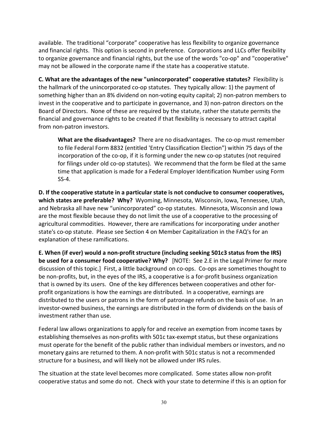available. The traditional "corporate" cooperative has less flexibility to organize governance and financial rights. This option is second in preference. Corporations and LLCs offer flexibility to organize governance and financial rights, but the use of the words "co-op" and "cooperative" may not be allowed in the corporate name if the state has a cooperative statute.

**C. What are the advantages of the new "unincorporated" cooperative statutes?** Flexibility is the hallmark of the unincorporated co-op statutes. They typically allow: 1) the payment of something higher than an 8% dividend on non‐voting equity capital; 2) non‐patron members to invest in the cooperative and to participate in governance, and 3) non‐patron directors on the Board of Directors. None of these are required by the statute, rather the statute permits the financial and governance rights to be created if that flexibility is necessary to attract capital from non‐patron investors.

**What are the disadvantages?** There are no disadvantages. The co‐op must remember to file Federal Form 8832 (entitled 'Entry Classification Election") within 75 days of the incorporation of the co‐op, if it is forming under the new co‐op statutes (not required for filings under old co‐op statutes). We recommend that the form be filed at the same time that application is made for a Federal Employer Identification Number using Form SS‐4.

**D. If the cooperative statute in a particular state is not conducive to consumer cooperatives, which states are preferable? Why?** Wyoming, Minnesota, Wisconsin, Iowa, Tennessee, Utah, and Nebraska all have new "unincorporated" co‐op statutes. Minnesota, Wisconsin and Iowa are the most flexible because they do not limit the use of a cooperative to the processing of agricultural commodities. However, there are ramifications for incorporating under another state's co‐op statute. Please see Section 4 on Member Capitalization in the FAQ's for an explanation of these ramifications.

**E. When (if ever) would a non‐profit structure (including seeking 501c3 status from the IRS) be used for a consumer food cooperative? Why?** [NOTE: See 2.E in the Legal Primer for more discussion of this topic.] First, a little background on co‐ops. Co‐ops are sometimes thought to be non-profits, but, in the eyes of the IRS, a cooperative is a for-profit business organization that is owned by its users. One of the key differences between cooperatives and other for‐ profit organizations is how the earnings are distributed. In a cooperative, earnings are distributed to the users or patrons in the form of patronage refunds on the basis of use. In an investor-owned business, the earnings are distributed in the form of dividends on the basis of investment rather than use.

Federal law allows organizations to apply for and receive an exemption from income taxes by establishing themselves as non‐profits with 501c tax‐exempt status, but these organizations must operate for the benefit of the public rather than individual members or investors, and no monetary gains are returned to them. A non‐profit with 501c status is not a recommended structure for a business, and will likely not be allowed under IRS rules.

The situation at the state level becomes more complicated. Some states allow non‐profit cooperative status and some do not. Check with your state to determine if this is an option for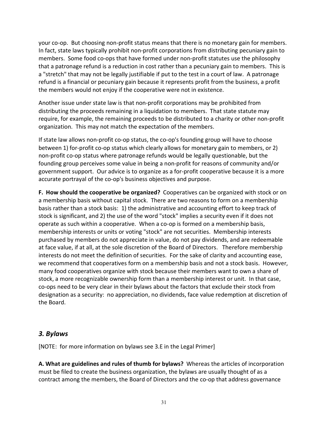your co‐op. But choosing non‐profit status means that there is no monetary gain for members. In fact, state laws typically prohibit non‐profit corporations from distributing pecuniary gain to members. Some food co-ops that have formed under non-profit statutes use the philosophy that a patronage refund is a reduction in cost rather than a pecuniary gain to members. This is a "stretch" that may not be legally justifiable if put to the test in a court of law. A patronage refund is a financial or pecuniary gain because it represents profit from the business, a profit the members would not enjoy if the cooperative were not in existence.

Another issue under state law is that non‐profit corporations may be prohibited from distributing the proceeds remaining in a liquidation to members. That state statute may require, for example, the remaining proceeds to be distributed to a charity or other non‐profit organization. This may not match the expectation of the members.

If state law allows non‐profit co‐op status, the co‐op's founding group will have to choose between 1) for-profit co-op status which clearly allows for monetary gain to members, or 2) non‐profit co‐op status where patronage refunds would be legally questionable, but the founding group perceives some value in being a non‐profit for reasons of community and/or government support. Our advice is to organize as a for‐profit cooperative because it is a more accurate portrayal of the co‐op's business objectives and purpose.

**F. How should the cooperative be organized?** Cooperatives can be organized with stock or on a membership basis without capital stock. There are two reasons to form on a membership basis rather than a stock basis: 1) the administrative and accounting effort to keep track of stock is significant, and 2) the use of the word "stock" implies a security even if it does not operate as such within a cooperative. When a co-op is formed on a membership basis, membership interests or units or voting "stock" are not securities. Membership interests purchased by members do not appreciate in value, do not pay dividends, and are redeemable at face value, if at all, at the sole discretion of the Board of Directors. Therefore membership interests do not meet the definition of securities. For the sake of clarity and accounting ease, we recommend that cooperatives form on a membership basis and not a stock basis. However, many food cooperatives organize with stock because their members want to own a share of stock, a more recognizable ownership form than a membership interest or unit. In that case, co‐ops need to be very clear in their bylaws about the factors that exclude their stock from designation as a security: no appreciation, no dividends, face value redemption at discretion of the Board.

### *3. Bylaws*

[NOTE: for more information on bylaws see 3.E in the Legal Primer]

**A. What are guidelines and rules of thumb for bylaws?** Whereas the articles of incorporation must be filed to create the business organization, the bylaws are usually thought of as a contract among the members, the Board of Directors and the co-op that address governance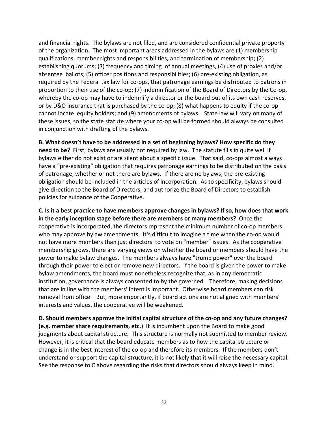and financial rights. The bylaws are not filed, and are considered confidential private property of the organization. The most important areas addressed in the bylaws are (1) membership qualifications, member rights and responsibilities, and termination of membership; (2) establishing quorums; (3) frequency and timing of annual meetings, (4) use of proxies and/or absentee ballots; (5) officer positions and responsibilities; (6) pre‐existing obligation, as required by the Federal tax law for co‐ops, that patronage earnings be distributed to patrons in proportion to their use of the co‐op; (7) indemnification of the Board of Directors by the Co‐op, whereby the co-op may have to indemnify a director or the board out of its own cash reserves, or by D&O insurance that is purchased by the co-op; (8) what happens to equity if the co-op cannot locate equity holders; and (9) amendments of bylaws. State law will vary on many of these issues, so the state statute where your co‐op will be formed should always be consulted in conjunction with drafting of the bylaws.

**B. What doesn't have to be addressed in a set of beginning bylaws? How specific do they need to be?** First, bylaws are usually not required by law. The statute fills in quite well if bylaws either do not exist or are silent about a specific issue. That said, co‐ops almost always have a "pre-existing" obligation that requires patronage earnings to be distributed on the basis of patronage, whether or not there are bylaws. If there are no bylaws, the pre‐existing obligation should be included in the articles of incorporation. As to specificity, bylaws should give direction to the Board of Directors, and authorize the Board of Directors to establish policies for guidance of the Cooperative.

C. Is it a best practice to have members approve changes in bylaws? If so, how does that work **in the early inception stage before there are members or many members?** Once the cooperative is incorporated, the directors represent the minimum number of co‐op members who may approve bylaw amendments. It's difficult to imagine a time when the co-op would not have more members than just directors to vote on "member" issues. As the cooperative membership grows, there are varying views on whether the board or members should have the power to make bylaw changes. The members always have "trump power" over the board through their power to elect or remove new directors. If the board is given the power to make bylaw amendments, the board must nonetheless recognize that, as in any democratic institution, governance is always consented to by the governed. Therefore, making decisions that are in line with the members' intent is important. Otherwise board members can risk removal from office. But, more importantly, if board actions are not aligned with members' interests and values, the cooperative will be weakened.

**D. Should members approve the initial capital structure of the co‐op and any future changes? (e.g. member share requirements, etc.)** It is incumbent upon the Board to make good judgments about capital structure. This structure is normally not submitted to member review. However, it is critical that the board educate members as to how the capital structure or change is in the best interest of the co-op and therefore its members. If the members don't understand or support the capital structure, it is not likely that it will raise the necessary capital. See the response to C above regarding the risks that directors should always keep in mind.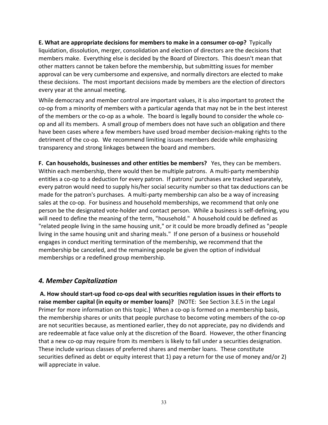**E. What are appropriate decisions for members to make in a consumer co‐op?** Typically liquidation, dissolution, merger, consolidation and election of directors are the decisions that members make. Everything else is decided by the Board of Directors. This doesn't mean that other matters cannot be taken before the membership, but submitting issues for member approval can be very cumbersome and expensive, and normally directors are elected to make these decisions. The most important decisions made by members are the election of directors every year at the annual meeting.

While democracy and member control are important values, it is also important to protect the co-op from a minority of members with a particular agenda that may not be in the best interest of the members or the co-op as a whole. The board is legally bound to consider the whole coop and all its members. A small group of members does not have such an obligation and there have been cases where a few members have used broad member decision-making rights to the detriment of the co-op. We recommend limiting issues members decide while emphasizing transparency and strong linkages between the board and members.

**F. Can households, businesses and other entities be members?** Yes, they can be members. Within each membership, there would then be multiple patrons. A multi-party membership entitles a co-op to a deduction for every patron. If patrons' purchases are tracked separately, every patron would need to supply his/her social security number so that tax deductions can be made for the patron's purchases*.* A multi‐party membership can also be a way of increasing sales at the co-op. For business and household memberships, we recommend that only one person be the designated vote‐holder and contact person. While a business is self‐defining, you will need to define the meaning of the term, "household." A household could be defined as "related people living in the same housing unit," or it could be more broadly defined as "people living in the same housing unit and sharing meals." If one person of a business or household engages in conduct meriting termination of the membership, we recommend that the membership be canceled, and the remaining people be given the option of individual memberships or a redefined group membership.

### *4. Member Capitalization*

**A. How should start‐up food co‐ops deal with securities regulation issues in their efforts to raise member capital (in equity or member loans)?** [NOTE: See Section 3.E.5 in the Legal Primer for more information on this topic.] When a co-op is formed on a membership basis, the membership shares or units that people purchase to become voting members of the co‐op are not securities because, as mentioned earlier, they do not appreciate, pay no dividends and are redeemable at face value only at the discretion of the Board. However, the other financing that a new co‐op may require from its members is likely to fall under a securities designation. These include various classes of preferred shares and member loans. These constitute securities defined as debt or equity interest that 1) pay a return for the use of money and/or 2) will appreciate in value.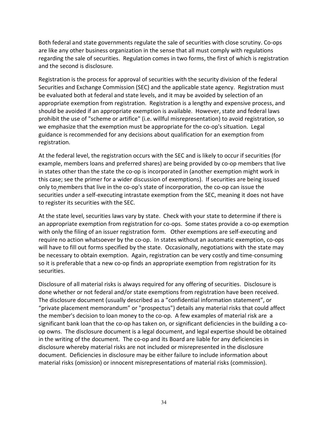Both federal and state governments regulate the sale of securities with close scrutiny. Co‐ops are like any other business organization in the sense that all must comply with regulations regarding the sale of securities. Regulation comes in two forms, the first of which is registration and the second is disclosure*.*

Registration is the process for approval of securities with the security division of the federal Securities and Exchange Commission (SEC) and the applicable state agency. Registration must be evaluated both at federal and state levels, and it may be avoided by selection of an appropriate exemption from registration. Registration is a lengthy and expensive process, and should be avoided if an appropriate exemption is available. However, state and federal laws prohibit the use of "scheme or artifice" (i.e. willful misrepresentation) to avoid registration, so we emphasize that the exemption must be appropriate for the co-op's situation. Legal guidance is recommended for any decisions about qualification for an exemption from registration.

At the federal level, the registration occurs with the SEC and is likely to occur if securities (for example, members loans and preferred shares) are being provided by co-op members that live in states other than the state the co-op is incorporated in (another exemption might work in this case; see the primer for a wider discussion of exemptions). If securities are being issued only to members that live in the co‐op's state of incorporation, the co‐op can issue the securities under a self‐executing intrastate exemption from the SEC, meaning it does not have to register its securities with the SEC.

At the state level, securities laws vary by state. Check with your state to determine if there is an appropriate exemption from registration for co-ops. Some states provide a co-op exemption with only the filing of an issuer registration form. Other exemptions are self-executing and require no action whatsoever by the co-op. In states without an automatic exemption, co-ops will have to fill out forms specified by the state. Occasionally, negotiations with the state may be necessary to obtain exemption. Again, registration can be very costly and time‐consuming so it is preferable that a new co-op finds an appropriate exemption from registration for its securities.

Disclosure of all material risks is always required for any offering of securities. Disclosure is done whether or not federal and/or state exemptions from registration have been received. The disclosure document (usually described as a "confidential information statement", or "private placement memorandum" or "prospectus") details any material risks that could affect the member's decision to loan money to the co-op. A few examples of material risk are a significant bank loan that the co-op has taken on, or significant deficiencies in the building a coop owns. The disclosure document is a legal document, and legal expertise should be obtained in the writing of the document. The co-op and its Board are liable for any deficiencies in disclosure whereby material risks are not included or misrepresented in the disclosure document. Deficiencies in disclosure may be either failure to include information about material risks (omission) or innocent misrepresentations of material risks (commission).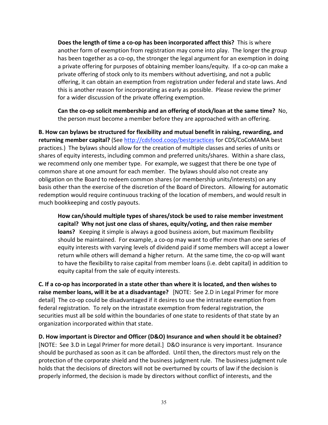**Does the length of time a co‐op has been incorporated affect this?** This is where another form of exemption from registration may come into play. The longer the group has been together as a co-op, the stronger the legal argument for an exemption in doing a private offering for purposes of obtaining member loans/equity*.* If a co‐op can make a private offering of stock only to its members without advertising, and not a public offering, it can obtain an exemption from registration under federal and state laws. And this is another reason for incorporating as early as possible. Please review the primer for a wider discussion of the private offering exemption.

**Can the co‐op solicit membership and an offering of stock/loan at the same time?** No, the person must become a member before they are approached with an offering.

**B. How can bylaws be structured for flexibility and mutual benefit in raising, rewarding, and returning member capital?** (See http://cdsfood.coop/bestpractices for CDS/CoCoMAMA best practices.) The bylaws should allow for the creation of multiple classes and series of units or shares of equity interests, including common and preferred units/shares. Within a share class, we recommend only one member type. For example, we suggest that there be one type of common share at one amount for each member. The bylaws should also not create any obligation on the Board to redeem common shares (or membership units/interests) on any basis other than the exercise of the discretion of the Board of Directors. Allowing for automatic redemption would require continuous tracking of the location of members, and would result in much bookkeeping and costly payouts.

**How can/should multiple types of shares/stock
be used to raise member investment capital? Why not just one class of shares, equity/voting, and then raise member loans?** Keeping it simple is always a good business axiom, but maximum flexibility should be maintained. For example, a co‐op may want to offer more than one series of equity interests with varying levels of dividend paid if some members will accept a lower return while others will demand a higher return. At the same time, the co‐op will want to have the flexibility to raise capital from member loans (i.e. debt capital) in addition to equity capital from the sale of equity interests.

C. If a co-op has incorporated in a state other than where it is located, and then wishes to **raise member loans, will it be at a disadvantage?** [NOTE: See 2.D in Legal Primer for more detail] The co‐op could be disadvantaged if it desires to use the intrastate exemption from federal registration. To rely on the intrastate exemption from federal registration, the securities must all be sold within the boundaries of one state to residents of that state by an organization incorporated within that state.

**D. How important is Director and Officer (D&O) Insurance and when should it be obtained?** [NOTE: See 3.D in Legal Primer for more detail.] D&O insurance is very important. Insurance should be purchased as soon as it can be afforded. Until then, the directors must rely on the protection of the corporate shield and the business judgment rule. The business judgment rule holds that the decisions of directors will not be overturned by courts of law if the decision is properly informed, the decision is made by directors without conflict of interests, and the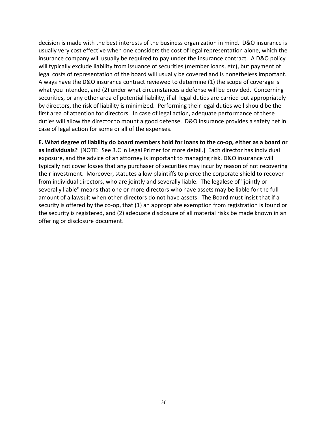decision is made with the best interests of the business organization in mind. D&O insurance is usually very cost effective when one considers the cost of legal representation alone, which the insurance company will usually be required to pay under the insurance contract. A D&O policy will typically exclude liability from issuance of securities (member loans, etc), but payment of legal costs of representation of the board will usually be covered and is nonetheless important. Always have the D&O insurance contract reviewed to determine (1) the scope of coverage is what you intended, and (2) under what circumstances a defense will be provided. Concerning securities, or any other area of potential liability, if all legal duties are carried out appropriately by directors, the risk of liability is minimized. Performing their legal duties well should be the first area of attention for directors. In case of legal action, adequate performance of these duties will allow the director to mount a good defense. D&O insurance provides a safety net in case of legal action for some or all of the expenses.

E. What degree of liability do board members hold for loans to the co-op, either as a board or **as individuals?** [NOTE: See 3.C in Legal Primer for more detail.] Each director has individual exposure, and the advice of an attorney is important to managing risk. D&O insurance will typically not cover losses that any purchaser of securities may incur by reason of not recovering their investment. Moreover, statutes allow plaintiffs to pierce the corporate shield to recover from individual directors, who are jointly and severally liable. The legalese of "jointly or severally liable" means that one or more directors who have assets may be liable for the full amount of a lawsuit when other directors do not have assets. The Board must insist that if a security is offered by the co-op, that (1) an appropriate exemption from registration is found or the security is registered, and (2) adequate disclosure of all material risks be made known in an offering or disclosure document.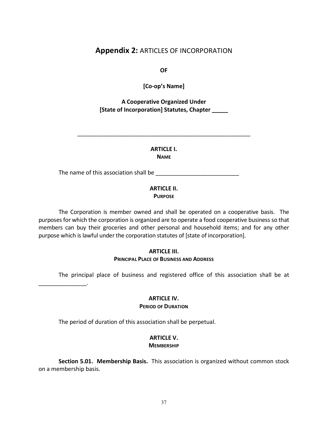### **Appendix 2:** ARTICLES OF INCORPORATION

**OF**

**[Co‐op's Name]**

**A Cooperative Organized Under [State of Incorporation] Statutes, Chapter \_\_\_\_\_**

> **ARTICLE I. NAME**

\_\_\_\_\_\_\_\_\_\_\_\_\_\_\_\_\_\_\_\_\_\_\_\_\_\_\_\_\_\_\_\_\_\_\_\_\_\_\_\_\_\_\_\_\_\_\_\_\_\_\_\_\_\_

The name of this association shall be \_\_\_\_\_\_\_\_\_\_\_\_\_\_\_\_\_\_\_\_\_\_\_\_\_\_

# **ARTICLE II.**

**PURPOSE**

The Corporation is member owned and shall be operated on a cooperative basis. The purposes for which the corporation is organized are to operate a food cooperative business so that members can buy their groceries and other personal and household items; and for any other purpose which is lawful under the corporation statutes of [state of incorporation].

#### **ARTICLE III. PRINCIPAL PLACE OF BUSINESS AND ADDRESS**

The principal place of business and registered office of this association shall be at

\_\_\_\_\_\_\_\_\_\_\_\_\_\_\_.

#### **ARTICLE IV. PERIOD OF DURATION**

The period of duration of this association shall be perpetual.

# **ARTICLE V.**

#### **MEMBERSHIP**

**Section 5.01. Membership Basis.** This association is organized without common stock on a membership basis.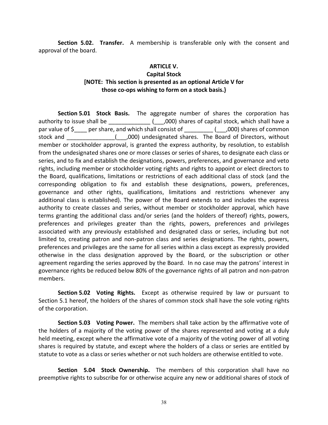**Section 5.02. Transfer.** A membership is transferable only with the consent and approval of the board.

#### **ARTICLE V.**

#### **Capital Stock [NOTE: This section is presented as an optional Article V for those co‐ops wishing to form on a stock
basis.}**

**Section 5.01 Stock Basis.** The aggregate number of shares the corporation has authority to issue shall be \_\_\_\_\_\_\_\_\_\_\_\_\_\_\_\_(\_\_\_\_,000) shares of capital stock, which shall have a par value of \$ per share, and which shall consist of  $($ ,000) shares of common stock and The South Computer (Computed shares. The Board of Directors, without member or stockholder approval, is granted the express authority, by resolution, to establish from the undesignated shares one or more classes or series of shares, to designate each class or series, and to fix and establish the designations, powers, preferences, and governance and veto rights, including member or stockholder voting rights and rights to appoint or elect directors to the Board, qualifications, limitations or restrictions of each additional class of stock (and the corresponding obligation to fix and establish these designations, powers, preferences, governance and other rights, qualifications, limitations and restrictions whenever any additional class is established). The power of the Board extends to and includes the express authority to create classes and series, without member or stockholder approval, which have terms granting the additional class and/or series (and the holders of thereof) rights, powers, preferences and privileges greater than the rights, powers, preferences and privileges associated with any previously established and designated class or series, including but not limited to, creating patron and non‐patron class and series designations. The rights, powers, preferences and privileges are the same for all series within a class except as expressly provided otherwise in the class designation approved by the Board, or the subscription or other agreement regarding the series approved by the Board. In no case may the patrons' interest in governance rights be reduced below 80% of the governance rights of all patron and non‐patron members.

**Section 5.02 Voting Rights.** Except as otherwise required by law or pursuant to Section 5.1 hereof, the holders of the shares of common stock shall have the sole voting rights of the corporation.

**Section 5.03 Voting Power.** The members shall take action by the affirmative vote of the holders of a majority of the voting power of the shares represented and voting at a duly held meeting, except where the affirmative vote of a majority of the voting power of all voting shares is required by statute, and except where the holders of a class or series are entitled by statute to vote as a class or series whether or not such holders are otherwise entitled to vote.

**Section 5.04 Stock Ownership.** The members of this corporation shall have no preemptive rights to subscribe for or otherwise acquire any new or additional shares of stock of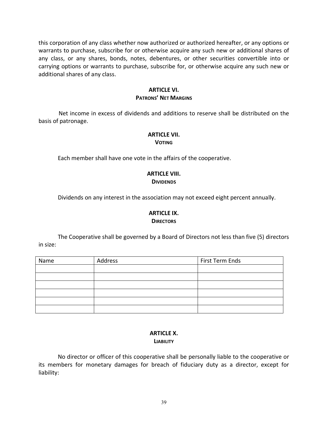this corporation of any class whether now authorized or authorized hereafter, or any options or warrants to purchase, subscribe for or otherwise acquire any such new or additional shares of any class, or any shares, bonds, notes, debentures, or other securities convertible into or carrying options or warrants to purchase, subscribe for, or otherwise acquire any such new or additional shares of any class.

#### **ARTICLE VI.**

#### **PATRONS' NET MARGINS**

Net income in excess of dividends and additions to reserve shall be distributed on the basis of patronage.

### **ARTICLE VII.**

#### **VOTING**

Each member shall have one vote in the affairs of the cooperative.

#### **ARTICLE VIII. DIVIDENDS**

Dividends on any interest in the association may not exceed eight percent annually.

#### **ARTICLE IX. DIRECTORS**

The Cooperative shall be governed by a Board of Directors not less than five (5) directors in size:

| Name | Address | First Term Ends |
|------|---------|-----------------|
|      |         |                 |
|      |         |                 |
|      |         |                 |
|      |         |                 |
|      |         |                 |
|      |         |                 |

#### **ARTICLE X. LIABILITY**

No director or officer of this cooperative shall be personally liable to the cooperative or its members for monetary damages for breach of fiduciary duty as a director, except for liability: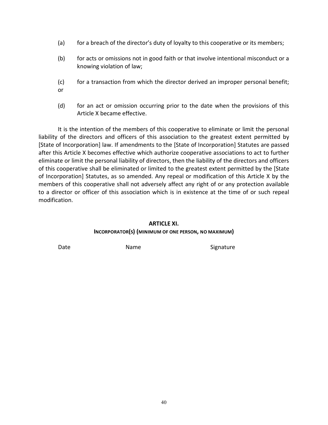- (a) for a breach of the director's duty of loyalty to this cooperative or its members;
- (b) for acts or omissions not in good faith or that involve intentional misconduct or a knowing violation of law;
- (c) for a transaction from which the director derived an improper personal benefit; or
- (d) for an act or omission occurring prior to the date when the provisions of this Article X became effective.

It is the intention of the members of this cooperative to eliminate or limit the personal liability of the directors and officers of this association to the greatest extent permitted by [State of Incorporation] law. If amendments to the [State of Incorporation] Statutes are passed after this Article X becomes effective which authorize cooperative associations to act to further eliminate or limit the personal liability of directors, then the liability of the directors and officers of this cooperative shall be eliminated or limited to the greatest extent permitted by the [State of Incorporation] Statutes, as so amended. Any repeal or modification of this Article X by the members of this cooperative shall not adversely affect any right of or any protection available to a director or officer of this association which is in existence at the time of or such repeal modification.

#### **ARTICLE XI. INCORPORATOR(S) (MINIMUM OF ONE PERSON, NO MAXIMUM)**

Date **Name** Name Signature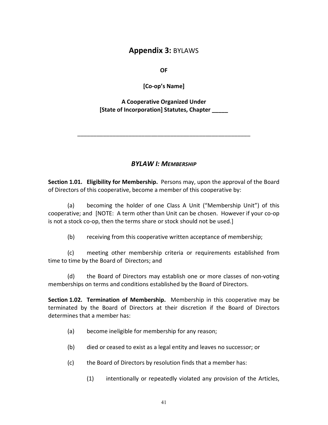# **Appendix 3:** BYLAWS

**OF**

**[Co‐op's Name]**

#### **A Cooperative Organized Under [State of Incorporation] Statutes, Chapter \_\_\_\_\_**

\_\_\_\_\_\_\_\_\_\_\_\_\_\_\_\_\_\_\_\_\_\_\_\_\_\_\_\_\_\_\_\_\_\_\_\_\_\_\_\_\_\_\_\_\_\_\_\_\_\_\_\_\_\_

### *BYLAW I:
MEMBERSHIP*

**Section 1.01. Eligibility for Membership.** Persons may, upon the approval of the Board of Directors of this cooperative, become a member of this cooperative by:

(a) becoming the holder of one Class A Unit ("Membership Unit") of this cooperative; and [NOTE: A term other than Unit can be chosen. However if your co‐op is not a stock co-op, then the terms share or stock should not be used.]

(b) receiving from this cooperative written acceptance of membership;

(c) meeting other membership criteria or requirements established from time to time by the Board of Directors; and

(d) the Board of Directors may establish one or more classes of non‐voting memberships on terms and conditions established by the Board of Directors.

**Section 1.02. Termination of Membership.** Membership in this cooperative may be terminated by the Board of Directors at their discretion if the Board of Directors determines that a member has:

- (a) become ineligible for membership for any reason;
- (b) died or ceased to exist as a legal entity and leaves no successor; or
- (c) the Board of Directors by resolution finds that a member has:
	- (1) intentionally or repeatedly violated any provision of the Articles,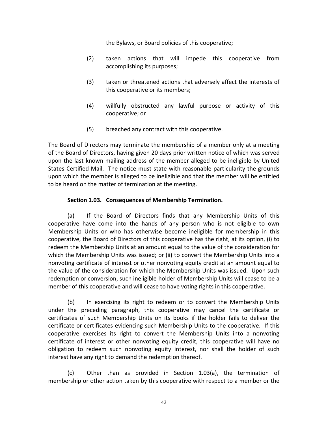the Bylaws, or Board policies of this cooperative;

- (2) taken actions that will impede this cooperative from accomplishing its purposes;
- (3) taken or threatened actions that adversely affect the interests of this cooperative or its members;
- (4) willfully obstructed any lawful purpose or activity of this cooperative; or
- (5) breached any contract with this cooperative.

The Board of Directors may terminate the membership of a member only at a meeting of the Board of Directors, having given 20 days prior written notice of which was served upon the last known mailing address of the member alleged to be ineligible by United States Certified Mail. The notice must state with reasonable particularity the grounds upon which the member is alleged to be ineligible and that the member will be entitled to be heard on the matter of termination at the meeting.

#### **Section 1.03. Consequences of Membership Termination.**

(a) If the Board of Directors finds that any Membership Units of this cooperative have come into the hands of any person who is not eligible to own Membership Units or who has otherwise become ineligible for membership in this cooperative, the Board of Directors of this cooperative has the right, at its option, (i) to redeem the Membership Units at an amount equal to the value of the consideration for which the Membership Units was issued; or (ii) to convert the Membership Units into a nonvoting certificate of interest or other nonvoting equity credit at an amount equal to the value of the consideration for which the Membership Units was issued. Upon such redemption or conversion, such ineligible holder of Membership Units will cease to be a member of this cooperative and will cease to have voting rights in this cooperative.

(b) In exercising its right to redeem or to convert the Membership Units under the preceding paragraph, this cooperative may cancel the certificate or certificates of such Membership Units on its books if the holder fails to deliver the certificate or certificates evidencing such Membership Units to the cooperative. If this cooperative exercises its right to convert the Membership Units into a nonvoting certificate of interest or other nonvoting equity credit, this cooperative will have no obligation to redeem such nonvoting equity interest, nor shall the holder of such interest have any right to demand the redemption thereof.

(c) Other than as provided in Section 1.03(a), the termination of membership or other action taken by this cooperative with respect to a member or the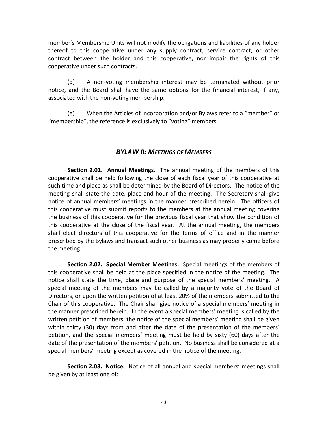member's Membership Units will not modify the obligations and liabilities of any holder thereof to this cooperative under any supply contract, service contract, or other contract between the holder and this cooperative, nor impair the rights of this cooperative under such contracts.

(d) A non‐voting membership interest may be terminated without prior notice, and the Board shall have the same options for the financial interest, if any, associated with the non‐voting membership.

(e) When the Articles of Incorporation and/or Bylaws refer to a "member" or "membership", the reference is exclusively to "voting" members.

#### *BYLAW II:
MEETINGS OF MEMBERS*

**Section 2.01. Annual Meetings.** The annual meeting of the members of this cooperative shall be held following the close of each fiscal year of this cooperative at such time and place as shall be determined by the Board of Directors. The notice of the meeting shall state the date, place and hour of the meeting. The Secretary shall give notice of annual members' meetings in the manner prescribed herein. The officers of this cooperative must submit reports to the members at the annual meeting covering the business of this cooperative for the previous fiscal year that show the condition of this cooperative at the close of the fiscal year. At the annual meeting, the members shall elect directors of this cooperative for the terms of office and in the manner prescribed by the Bylaws and transact such other business as may properly come before the meeting.

**Section 2.02. Special Member Meetings.** Special meetings of the members of this cooperative shall be held at the place specified in the notice of the meeting. The notice shall state the time, place and purpose of the special members' meeting. A special meeting of the members may be called by a majority vote of the Board of Directors, or upon the written petition of at least 20% of the members submitted to the Chair of this cooperative. The Chair shall give notice of a special members' meeting in the manner prescribed herein. In the event a special members' meeting is called by the written petition of members, the notice of the special members' meeting shall be given within thirty (30) days from and after the date of the presentation of the members' petition, and the special members' meeting must be held by sixty (60) days after the date of the presentation of the members' petition. No business shall be considered at a special members' meeting except as covered in the notice of the meeting.

**Section 2.03. Notice.** Notice of all annual and special members' meetings shall be given by at least one of: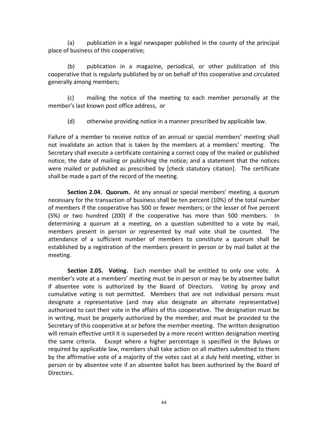(a) publication in a legal newspaper published in the county of the principal place of business of this cooperative;

(b) publication in a magazine, periodical, or other publication of this cooperative that is regularly published by or on behalf of this cooperative and circulated generally among members;

(c) mailing the notice of the meeting to each member personally at the member's last known post office address, or

(d) otherwise providing notice in a manner prescribed by applicable law.

Failure of a member to receive notice of an annual or special members' meeting shall not invalidate an action that is taken by the members at a members' meeting. The Secretary shall execute a certificate containing a correct copy of the mailed or published notice; the date of mailing or publishing the notice; and a statement that the notices were mailed or published as prescribed by [check statutory citation]. The certificate shall be made a part of the record of the meeting.

**Section 2.04. Quorum.** At any annual or special members' meeting, a quorum necessary for the transaction of business shall be ten percent (10%) of the total number of members if the cooperative has 500 or fewer members; or the lesser of five percent (5%) or two hundred (200) if the cooperative has more than 500 members. In determining a quorum at a meeting, on a question submitted to a vote by mail, members present in person or represented by mail vote shall be counted. The attendance of a sufficient number of members to constitute a quorum shall be established by a registration of the members present in person or by mail ballot at the meeting.

**Section 2.05. Voting.** Each member shall be entitled to only one vote. A member's vote at a members' meeting must be in person or may be by absentee ballot if absentee vote is authorized by the Board of Directors. Voting by proxy and cumulative voting is not permitted. Members that are not individual persons must designate a representative (and may also designate an alternate representative) authorized to cast their vote in the affairs of this cooperative. The designation must be in writing, must be properly authorized by the member, and must be provided to the Secretary of this cooperative at or before the member meeting. The written designation will remain effective until it is superseded by a more recent written designation meeting the same criteria. Except where a higher percentage is specified in the Bylaws or required by applicable law, members shall take action on all matters submitted to them by the affirmative vote of a majority of the votes cast at a duly held meeting, either in person or by absentee vote if an absentee ballot has been authorized by the Board of Directors.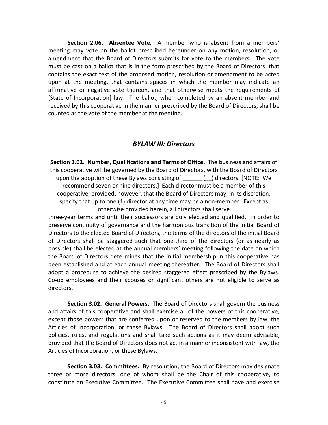**Section 2.06. Absentee Vote.** A member who is absent from a members' meeting may vote on the ballot prescribed hereunder on any motion, resolution, or amendment that the Board of Directors submits for vote to the members. The vote must be cast on a ballot that is in the form prescribed by the Board of Directors, that contains the exact text of the proposed motion, resolution or amendment to be acted upon at the meeting, that contains spaces in which the member may indicate an affirmative or negative vote thereon, and that otherwise meets the requirements of [State of Incorporation] law. The ballot, when completed by an absent member and received by this cooperative in the manner prescribed by the Board of Directors, shall be counted as the vote of the member at the meeting.

#### *BYLAW III:
Directors*

**Section 3.01. Number, Qualifications and Terms of Office.** The business and affairs of this cooperative will be governed by the Board of Directors, with the Board of Directors upon the adoption of these Bylaws consisting of Table (20) directors. [NOTE: We recommend seven or nine directors.] Each director must be a member of this cooperative, provided, however, that the Board of Directors may, in its discretion, specify that up to one (1) director at any time may be a non-member. Except as otherwise provided herein, all directors shall serve

three‐year terms and until their successors are duly elected and qualified. In order to preserve continuity of governance and the harmonious transition of the initial Board of Directors to the elected Board of Directors, the terms of the directors of the initial Board of Directors shall be staggered such that one‐third of the directors (or as nearly as possible) shall be elected at the annual members' meeting following the date on which the Board of Directors determines that the initial membership in this cooperative has been established and at each annual meeting thereafter. The Board of Directors shall adopt a procedure to achieve the desired staggered effect prescribed by the Bylaws. Co-op employees and their spouses or significant others are not eligible to serve as directors.

**Section 3.02. General Powers.** The Board of Directors shall govern the business and affairs of this cooperative and shall exercise all of the powers of this cooperative, except those powers that are conferred upon or reserved to the members by law, the Articles of Incorporation, or these Bylaws. The Board of Directors shall adopt such policies, rules, and regulations and shall take such actions as it may deem advisable, provided that the Board of Directors does not act in a manner inconsistent with law, the Articles of Incorporation, or these Bylaws.

**Section 3.03. Committees.** By resolution, the Board of Directors may designate three or more directors, one of whom shall be the Chair of this cooperative, to constitute an Executive Committee. The Executive Committee shall have and exercise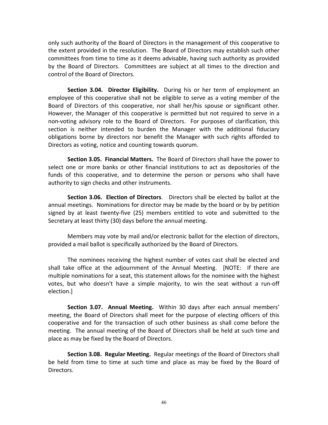only such authority of the Board of Directors in the management of this cooperative to the extent provided in the resolution. The Board of Directors may establish such other committees from time to time as it deems advisable, having such authority as provided by the Board of Directors. Committees are subject at all times to the direction and control of the Board of Directors.

**Section 3.04. Director Eligibility.** During his or her term of employment an employee of this cooperative shall not be eligible to serve as a voting member of the Board of Directors of this cooperative, nor shall her/his spouse or significant other. However, the Manager of this cooperative is permitted but not required to serve in a non‐voting advisory role to the Board of Directors. For purposes of clarification, this section is neither intended to burden the Manager with the additional fiduciary obligations borne by directors nor benefit the Manager with such rights afforded to Directors as voting, notice and counting towards quorum.

**Section 3.05. Financial Matters.** The Board of Directors shall have the power to select one or more banks or other financial institutions to act as depositories of the funds of this cooperative, and to determine the person or persons who shall have authority to sign checks and other instruments.

**Section 3.06. Election of Directors**. Directors shall be elected by ballot at the annual meetings. Nominations for director may be made by the board or by by petition signed by at least twenty‐five (25) members entitled to vote and submitted to the Secretary at least thirty (30) days before the annual meeting.

Members may vote by mail and/or electronic ballot for the election of directors, provided a mail ballot is specifically authorized by the Board of Directors.

The nominees receiving the highest number of votes cast shall be elected and shall take office at the adjournment of the Annual Meeting. [NOTE: If there are multiple nominations for a seat, this statement allows for the nominee with the highest votes, but who doesn't have a simple majority, to win the seat without a run‐off election.]

**Section 3.07. Annual Meeting.** Within 30 days after each annual members' meeting, the Board of Directors shall meet for the purpose of electing officers of this cooperative and for the transaction of such other business as shall come before the meeting. The annual meeting of the Board of Directors shall be held at such time and place as may be fixed by the Board of Directors.

**Section 3.08. Regular Meeting.** Regular meetings of the Board of Directors shall be held from time to time at such time and place as may be fixed by the Board of Directors.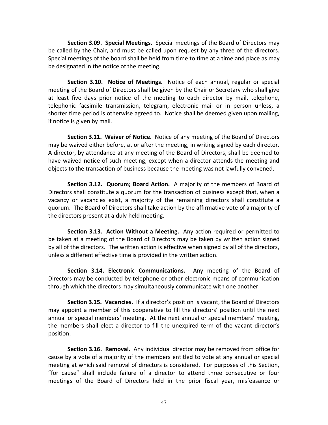**Section 3.09. Special Meetings.** Special meetings of the Board of Directors may be called by the Chair, and must be called upon request by any three of the directors. Special meetings of the board shall be held from time to time at a time and place as may be designated in the notice of the meeting.

**Section 3.10. Notice of Meetings.** Notice of each annual, regular or special meeting of the Board of Directors shall be given by the Chair or Secretary who shall give at least five days prior notice of the meeting to each director by mail, telephone, telephonic facsimile transmission, telegram, electronic mail or in person unless, a shorter time period is otherwise agreed to. Notice shall be deemed given upon mailing, if notice is given by mail.

**Section 3.11. Waiver of Notice.** Notice of any meeting of the Board of Directors may be waived either before, at or after the meeting, in writing signed by each director. A director, by attendance at any meeting of the Board of Directors, shall be deemed to have waived notice of such meeting, except when a director attends the meeting and objects to the transaction of business because the meeting was not lawfully convened.

**Section 3.12. Quorum; Board Action.** A majority of the members of Board of Directors shall constitute a quorum for the transaction of business except that, when a vacancy or vacancies exist, a majority of the remaining directors shall constitute a quorum. The Board of Directors shall take action by the affirmative vote of a majority of the directors present at a duly held meeting.

**Section 3.13. Action Without a Meeting.** Any action required or permitted to be taken at a meeting of the Board of Directors may be taken by written action signed by all of the directors. The written action is effective when signed by all of the directors, unless a different effective time is provided in the written action.

**Section 3.14. Electronic Communications.** Any meeting of the Board of Directors may be conducted by telephone or other electronic means of communication through which the directors may simultaneously communicate with one another.

**Section 3.15. Vacancies.** If a director's position is vacant, the Board of Directors may appoint a member of this cooperative to fill the directors' position until the next annual or special members' meeting. At the next annual or special members' meeting, the members shall elect a director to fill the unexpired term of the vacant director's position.

**Section 3.16. Removal.** Any individual director may be removed from office for cause by a vote of a majority of the members entitled to vote at any annual or special meeting at which said removal of directors is considered. For purposes of this Section, "for cause" shall include failure of a director to attend three consecutive or four meetings of the Board of Directors held in the prior fiscal year, misfeasance or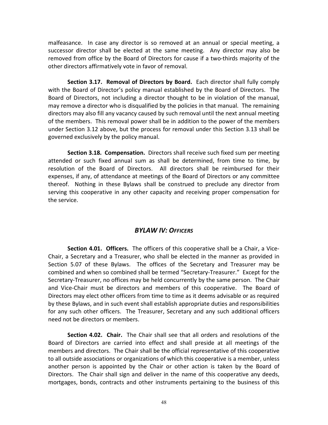malfeasance. In case any director is so removed at an annual or special meeting, a successor director shall be elected at the same meeting. Any director may also be removed from office by the Board of Directors for cause if a two-thirds majority of the other directors affirmatively vote in favor of removal.

**Section 3.17. Removal of Directors by Board.** Each director shall fully comply with the Board of Director's policy manual established by the Board of Directors. The Board of Directors, not including a director thought to be in violation of the manual, may remove a director who is disqualified by the policies in that manual. The remaining directors may also fill any vacancy caused by such removal until the next annual meeting of the members. This removal power shall be in addition to the power of the members under Section 3.12 above, but the process for removal under this Section 3.13 shall be governed exclusively by the policy manual.

**Section 3.18. Compensation.** Directors shall receive such fixed sum per meeting attended or such fixed annual sum as shall be determined, from time to time, by resolution of the Board of Directors. All directors shall be reimbursed for their expenses, if any, of attendance at meetings of the Board of Directors or any committee thereof. Nothing in these Bylaws shall be construed to preclude any director from serving this cooperative in any other capacity and receiving proper compensation for the service.

#### *BYLAW IV:
OFFICERS*

**Section 4.01. Officers.** The officers of this cooperative shall be a Chair, a Vice‐ Chair, a Secretary and a Treasurer, who shall be elected in the manner as provided in Section 5.07 of these Bylaws. The offices of the Secretary and Treasurer may be combined and when so combined shall be termed "Secretary‐Treasurer." Except for the Secretary‐Treasurer, no offices may be held concurrently by the same person. The Chair and Vice‐Chair must be directors and members of this cooperative. The Board of Directors may elect other officers from time to time as it deems advisable or as required by these Bylaws, and in such event shall establish appropriate duties and responsibilities for any such other officers. The Treasurer, Secretary and any such additional officers need not be directors or members.

**Section 4.02. Chair.** The Chair shall see that all orders and resolutions of the Board of Directors are carried into effect and shall preside at all meetings of the members and directors. The Chair shall be the official representative of this cooperative to all outside associations or organizations of which this cooperative is a member, unless another person is appointed by the Chair or other action is taken by the Board of Directors. The Chair shall sign and deliver in the name of this cooperative any deeds, mortgages, bonds, contracts and other instruments pertaining to the business of this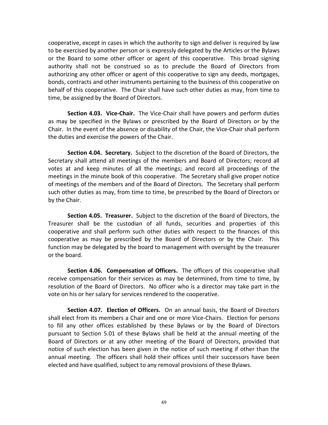cooperative, except in cases in which the authority to sign and deliver is required by law to be exercised by another person or is expressly delegated by the Articles or the Bylaws or the Board to some other officer or agent of this cooperative. This broad signing authority shall not be construed so as to preclude the Board of Directors from authorizing any other officer or agent of this cooperative to sign any deeds, mortgages, bonds, contracts and other instruments pertaining to the business of this cooperative on behalf of this cooperative. The Chair shall have such other duties as may, from time to time, be assigned by the Board of Directors.

**Section 4.03. Vice‐Chair.** The Vice‐Chair shall have powers and perform duties as may be specified in the Bylaws or prescribed by the Board of Directors or by the Chair. In the event of the absence or disability of the Chair, the Vice‐Chair shall perform the duties and exercise the powers of the Chair.

**Section 4.04. Secretary.** Subject to the discretion of the Board of Directors, the Secretary shall attend all meetings of the members and Board of Directors; record all votes at and keep minutes of all the meetings; and record all proceedings of the meetings in the minute book of this cooperative. The Secretary shall give proper notice of meetings of the members and of the Board of Directors. The Secretary shall perform such other duties as may, from time to time, be prescribed by the Board of Directors or by the Chair.

**Section 4.05. Treasurer.** Subject to the discretion of the Board of Directors, the Treasurer shall be the custodian of all funds, securities and properties of this cooperative and shall perform such other duties with respect to the finances of this cooperative as may be prescribed by the Board of Directors or by the Chair. This function may be delegated by the board to management with oversight by the treasurer or the board.

**Section 4.06. Compensation of Officers.** The officers of this cooperative shall receive compensation for their services as may be determined, from time to time, by resolution of the Board of Directors. No officer who is a director may take part in the vote on his or her salary for services rendered to the cooperative.

**Section 4.07. Election of Officers.** On an annual basis, the Board of Directors shall elect from its members a Chair and one or more Vice‐Chairs. Election for persons to fill any other offices established by these Bylaws or by the Board of Directors pursuant to Section 5.01 of these Bylaws shall be held at the annual meeting of the Board of Directors or at any other meeting of the Board of Directors, provided that notice of such election has been given in the notice of such meeting if other than the annual meeting. The officers shall hold their offices until their successors have been elected and have qualified, subject to any removal provisions of these Bylaws.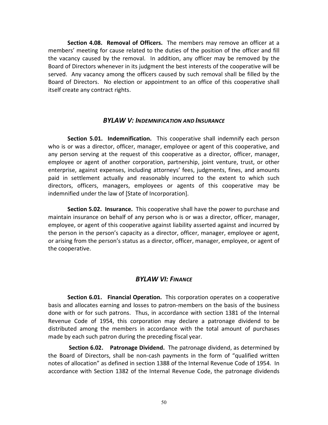**Section 4.08. Removal of Officers.** The members may remove an officer at a members' meeting for cause related to the duties of the position of the officer and fill the vacancy caused by the removal. In addition, any officer may be removed by the Board of Directors whenever in its judgment the best interests of the cooperative will be served. Any vacancy among the officers caused by such removal shall be filled by the Board of Directors. No election or appointment to an office of this cooperative shall itself create any contract rights.

#### *BYLAW V:
INDEMNIFICATION AND INSURANCE*

**Section 5.01. Indemnification.** This cooperative shall indemnify each person who is or was a director, officer, manager, employee or agent of this cooperative, and any person serving at the request of this cooperative as a director, officer, manager, employee or agent of another corporation, partnership, joint venture, trust, or other enterprise, against expenses, including attorneys' fees, judgments, fines, and amounts paid in settlement actually and reasonably incurred to the extent to which such directors, officers, managers, employees or agents of this cooperative may be indemnified under the law of [State of Incorporation].

**Section 5.02. Insurance.** This cooperative shall have the power to purchase and maintain insurance on behalf of any person who is or was a director, officer, manager, employee, or agent of this cooperative against liability asserted against and incurred by the person in the person's capacity as a director, officer, manager, employee or agent, or arising from the person's status as a director, officer, manager, employee, or agent of the cooperative.

#### *BYLAW VI:
FINANCE*

**Section 6.01. Financial Operation.** This corporation operates on a cooperative basis and allocates earning and losses to patron‐members on the basis of the business done with or for such patrons. Thus, in accordance with section 1381 of the Internal Revenue Code of 1954, this corporation may declare a patronage dividend to be distributed among the members in accordance with the total amount of purchases made by each such patron during the preceding fiscal year.

**Section 6.02. Patronage Dividend.** The patronage dividend, as determined by the Board of Directors, shall be non‐cash payments in the form of "qualified written notes of allocation" as defined in section 1388 of the Internal Revenue Code of 1954. In accordance with Section 1382 of the Internal Revenue Code, the patronage dividends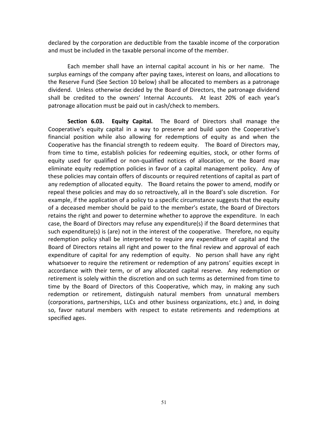declared by the corporation are deductible from the taxable income of the corporation and must be included in the taxable personal income of the member.

Each member shall have an internal capital account in his or her name. The surplus earnings of the company after paying taxes, interest on loans, and allocations to the Reserve Fund (See Section 10 below) shall be allocated to members as a patronage dividend. Unless otherwise decided by the Board of Directors, the patronage dividend shall be credited to the owners' Internal Accounts. At least 20% of each year's patronage allocation must be paid out in cash/check to members.

**Section 6.03. Equity Capital.** The Board of Directors shall manage the Cooperative's equity capital in a way to preserve and build upon the Cooperative's financial position while also allowing for redemptions of equity as and when the Cooperative has the financial strength to redeem equity. The Board of Directors may, from time to time, establish policies for redeeming equities, stock, or other forms of equity used for qualified or non‐qualified notices of allocation, or the Board may eliminate equity redemption policies in favor of a capital management policy. Any of these policies may contain offers of discounts or required retentions of capital as part of any redemption of allocated equity. The Board retains the power to amend, modify or repeal these policies and may do so retroactively, all in the Board's sole discretion. For example, if the application of a policy to a specific circumstance suggests that the equity of a deceased member should be paid to the member's estate, the Board of Directors retains the right and power to determine whether to approve the expenditure. In each case, the Board of Directors may refuse any expenditure(s) if the Board determines that such expenditure(s) is (are) not in the interest of the cooperative. Therefore, no equity redemption policy shall be interpreted to require any expenditure of capital and the Board of Directors retains all right and power to the final review and approval of each expenditure of capital for any redemption of equity. No person shall have any right whatsoever to require the retirement or redemption of any patrons' equities except in accordance with their term, or of any allocated capital reserve. Any redemption or retirement is solely within the discretion and on such terms as determined from time to time by the Board of Directors of this Cooperative, which may, in making any such redemption or retirement, distinguish natural members from unnatural members (corporations, partnerships, LLCs and other business organizations, etc.) and, in doing so, favor natural members with respect to estate retirements and redemptions at specified ages.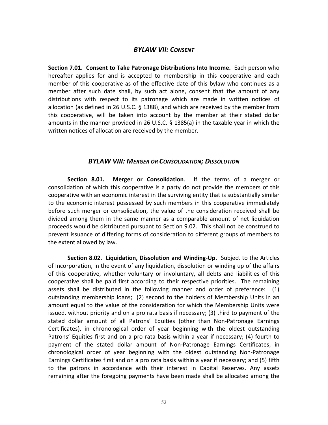#### *BYLAW VII:
CONSENT*

**Section 7.01. Consent to Take Patronage Distributions Into Income.** Each person who hereafter applies for and is accepted to membership in this cooperative and each member of this cooperative as of the effective date of this bylaw who continues as a member after such date shall, by such act alone, consent that the amount of any distributions with respect to its patronage which are made in written notices of allocation (as defined in 26 U.S.C. § 1388), and which are received by the member from this cooperative, will be taken into account by the member at their stated dollar amounts in the manner provided in 26 U.S.C. § 1385(a) in the taxable year in which the written notices of allocation are received by the member.

#### *BYLAW VIII:
MERGER OR CONSOLIDATION;
DISSOLUTION*

**Section 8.01. Merger or Consolidation**. If the terms of a merger or consolidation of which this cooperative is a party do not provide the members of this cooperative with an economic interest in the surviving entity that is substantially similar to the economic interest possessed by such members in this cooperative immediately before such merger or consolidation, the value of the consideration received shall be divided among them in the same manner as a comparable amount of net liquidation proceeds would be distributed pursuant to Section 9.02. This shall not be construed to prevent issuance of differing forms of consideration to different groups of members to the extent allowed by law.

**Section 8.02. Liquidation, Dissolution and Winding‐Up.** Subject to the Articles of Incorporation, in the event of any liquidation, dissolution or winding up of the affairs of this cooperative, whether voluntary or involuntary, all debts and liabilities of this cooperative shall be paid first according to their respective priorities. The remaining assets shall be distributed in the following manner and order of preference: (1) outstanding membership loans; (2) second to the holders of Membership Units in an amount equal to the value of the consideration for which the Membership Units were issued, without priority and on a pro rata basis if necessary; (3) third to payment of the stated dollar amount of all Patrons' Equities (other than Non‐Patronage Earnings Certificates), in chronological order of year beginning with the oldest outstanding Patrons' Equities first and on a pro rata basis within a year if necessary; (4) fourth to payment of the stated dollar amount of Non‐Patronage Earnings Certificates, in chronological order of year beginning with the oldest outstanding Non‐Patronage Earnings Certificates first and on a pro rata basis within a year if necessary; and (5) fifth to the patrons in accordance with their interest in Capital Reserves. Any assets remaining after the foregoing payments have been made shall be allocated among the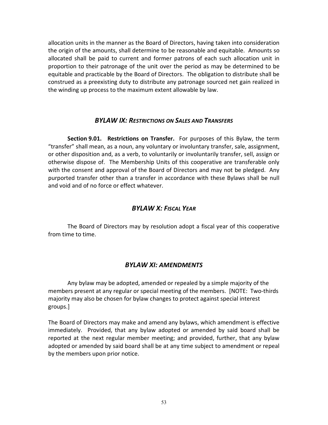allocation units in the manner as the Board of Directors, having taken into consideration the origin of the amounts, shall determine to be reasonable and equitable. Amounts so allocated shall be paid to current and former patrons of each such allocation unit in proportion to their patronage of the unit over the period as may be determined to be equitable and practicable by the Board of Directors. The obligation to distribute shall be construed as a preexisting duty to distribute any patronage sourced net gain realized in the winding up process to the maximum extent allowable by law.

#### *BYLAW IX:
RESTRICTIONS ON SALES AND TRANSFERS*

**Section 9.01. Restrictions on Transfer.** For purposes of this Bylaw, the term "transfer" shall mean, as a noun, any voluntary or involuntary transfer, sale, assignment, or other disposition and, as a verb, to voluntarily or involuntarily transfer, sell, assign or otherwise dispose of. The Membership Units of this cooperative are transferable only with the consent and approval of the Board of Directors and may not be pledged. Any purported transfer other than a transfer in accordance with these Bylaws shall be null and void and of no force or effect whatever.

#### *BYLAW X:
FISCAL YEAR*

The Board of Directors may by resolution adopt a fiscal year of this cooperative from time to time.

#### *BYLAW XI:
AMENDMENTS*

Any bylaw may be adopted, amended or repealed by a simple majority of the members present at any regular or special meeting of the members. [NOTE: Two‐thirds majority may also be chosen for bylaw changes to protect against special interest groups.]

The Board of Directors may make and amend any bylaws, which amendment is effective immediately. Provided, that any bylaw adopted or amended by said board shall be reported at the next regular member meeting; and provided, further, that any bylaw adopted or amended by said board shall be at any time subject to amendment or repeal by the members upon prior notice.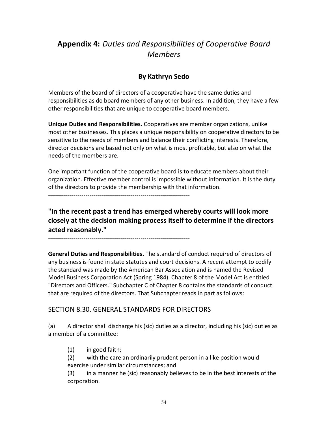# **Appendix 4:** *Duties and Responsibilities of Cooperative Board Members*

# **By Kathryn Sedo**

Members of the board of directors of a cooperative have the same duties and responsibilities as do board members of any other business. In addition, they have a few other responsibilities that are unique to cooperative board members.

**Unique Duties and Responsibilities.** Cooperatives are member organizations, unlike most other businesses. This places a unique responsibility on cooperative directors to be sensitive to the needs of members and balance their conflicting interests. Therefore, director decisions are based not only on what is most profitable, but also on what the needs of the members are.

One important function of the cooperative board is to educate members about their organization. Effective member control is impossible without information. It is the duty of the directors to provide the membership with that information.

‐‐‐‐‐‐‐‐‐‐‐‐‐‐‐‐‐‐‐‐‐‐‐‐‐‐‐‐‐‐‐‐‐‐‐‐‐‐‐‐‐‐‐‐‐‐‐‐‐‐‐‐‐‐‐‐‐‐‐‐‐‐‐‐‐‐‐‐‐‐‐‐

**"In the recent past a trend has emerged whereby courts will look more closely at the decision making process itself to determine if the directors acted reasonably."**

‐‐‐‐‐‐‐‐‐‐‐‐‐‐‐‐‐‐‐‐‐‐‐‐‐‐‐‐‐‐‐‐‐‐‐‐‐‐‐‐‐‐‐‐‐‐‐‐‐‐‐‐‐‐‐‐‐‐‐‐‐‐‐‐‐‐‐‐‐‐‐‐

**General Duties and Responsibilities.** The standard of conduct required of directors of any business is found in state statutes and court decisions. A recent attempt to codify the standard was made by the American Bar Association and is named the Revised Model Business Corporation Act (Spring 1984). Chapter 8 of the Model Act is entitled "Directors and Officers." Subchapter C of Chapter 8 contains the standards of conduct that are required of the directors. That Subchapter reads in part as follows:

# SECTION 8.30. GENERAL STANDARDS FOR DIRECTORS

(a) A director shall discharge his (sic) duties as a director, including his (sic) duties as a member of a committee:

- (1) in good faith;
- (2) with the care an ordinarily prudent person in a like position would exercise under similar circumstances; and

(3) in a manner he (sic) reasonably believes to be in the best interests of the corporation.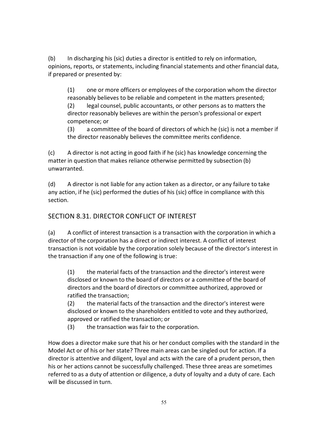(b) In discharging his (sic) duties a director is entitled to rely on information, opinions, reports, or statements, including financial statements and other financial data, if prepared or presented by:

(1) one or more officers or employees of the corporation whom the director reasonably believes to be reliable and competent in the matters presented;

(2) legal counsel, public accountants, or other persons as to matters the director reasonably believes are within the person's professional or expert competence; or

(3) a committee of the board of directors of which he (sic) is not a member if the director reasonably believes the committee merits confidence.

(c) A director is not acting in good faith if he (sic) has knowledge concerning the matter in question that makes reliance otherwise permitted by subsection (b) unwarranted.

(d) A director is not liable for any action taken as a director, or any failure to take any action, if he (sic) performed the duties of his (sic) office in compliance with this section.

# SECTION 8.31. DIRECTOR CONFLICT OF INTEREST

(a) A conflict of interest transaction is a transaction with the corporation in which a director of the corporation has a direct or indirect interest. A conflict of interest transaction is not voidable by the corporation solely because of the director's interest in the transaction if any one of the following is true:

(1) the material facts of the transaction and the director's interest were disclosed or known to the board of directors or a committee of the board of directors and the board of directors or committee authorized, approved or ratified the transaction;

(2) the material facts of the transaction and the director's interest were disclosed or known to the shareholders entitled to vote and they authorized, approved or ratified the transaction; or

(3) the transaction was fair to the corporation.

How does a director make sure that his or her conduct complies with the standard in the Model Act or of his or her state? Three main areas can be singled out for action. If a director is attentive and diligent, loyal and acts with the care of a prudent person, then his or her actions cannot be successfully challenged. These three areas are sometimes referred to as a duty of attention or diligence, a duty of loyalty and a duty of care. Each will be discussed in turn.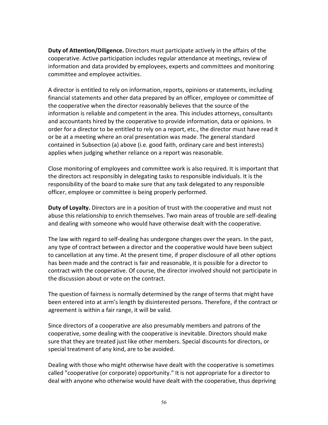**Duty of Attention/Diligence.** Directors must participate actively in the affairs of the cooperative. Active participation includes regular attendance at meetings, review of information and data provided by employees, experts and committees and monitoring committee and employee activities.

A director is entitled to rely on information, reports, opinions or statements, including financial statements and other data prepared by an officer, employee or committee of the cooperative when the director reasonably believes that the source of the information is reliable and competent in the area. This includes attorneys, consultants and accountants hired by the cooperative to provide information, data or opinions. In order for a director to be entitled to rely on a report, etc., the director must have read it or be at a meeting where an oral presentation was made. The general standard contained in Subsection (a) above (i.e. good faith, ordinary care and best interests) applies when judging whether reliance on a report was reasonable.

Close monitoring of employees and committee work is also required. It is important that the directors act responsibly in delegating tasks to responsible individuals. It is the responsibility of the board to make sure that any task delegated to any responsible officer, employee or committee is being properly performed.

**Duty of Loyalty.** Directors are in a position of trust with the cooperative and must not abuse this relationship to enrich themselves. Two main areas of trouble are self‐dealing and dealing with someone who would have otherwise dealt with the cooperative.

The law with regard to self‐dealing has undergone changes over the years. In the past, any type of contract between a director and the cooperative would have been subject to cancellation at any time. At the present time, if proper disclosure of all other options has been made and the contract is fair and reasonable, it is possible for a director to contract with the cooperative. Of course, the director involved should not participate in the discussion about or vote on the contract.

The question of fairness is normally determined by the range of terms that might have been entered into at arm's length by disinterested persons. Therefore, if the contract or agreement is within a fair range, it will be valid.

Since directors of a cooperative are also presumably members and patrons of the cooperative, some dealing with the cooperative is inevitable. Directors should make sure that they are treated just like other members. Special discounts for directors, or special treatment of any kind, are to be avoided.

Dealing with those who might otherwise have dealt with the cooperative is sometimes called "cooperative (or corporate) opportunity." It is not appropriate for a director to deal with anyone who otherwise would have dealt with the cooperative, thus depriving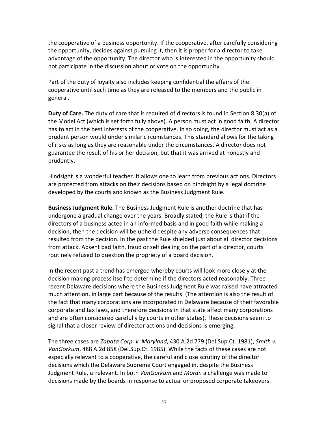the cooperative of a business opportunity. If the cooperative, after carefully considering the opportunity, decides against pursuing it, then it is proper for a director to take advantage of the opportunity. The director who is interested in the opportunity should not participate in the discussion about or vote on the opportunity.

Part of the duty of loyalty also includes keeping confidential the affairs of the cooperative until such time as they are released to the members and the public in general.

**Duty of Care.** The duty of care that is required of directors is found in Section 8.30(a) of the Model Act (which is set forth fully above). A person must act in good faith. A director has to act in the best interests of the cooperative. In so doing, the director must act as a prudent person would under similar circumstances. This standard allows for the taking of risks as long as they are reasonable under the circumstances. A director does not guarantee the result of his or her decision, but that it was arrived at honestly and prudently.

Hindsight is a wonderful teacher. It allows one to learn from previous actions. Directors are protected from attacks on their decisions based on hindsight by a legal doctrine developed by the courts and known as the Business Judgment Rule.

**Business Judgment Rule.** The Business Judgment Rule is another doctrine that has undergone a gradual change over the years. Broadly stated, the Rule is that if the directors of a business acted in an informed basis and in good faith while making a decision, then the decision will be upheld despite any adverse consequences that resulted from the decision. In the past the Rule shielded just about all director decisions from attack. Absent bad faith, fraud or self dealing on the part of a director, courts routinely refused to question the propriety of a board decision.

In the recent past a trend has emerged whereby courts will look more closely at the decision making process itself to determine if the directors acted reasonably. Three recent Delaware decisions where the Business Judgment Rule was raised have attracted much attention, in large part because of the results. (The attention is also the result of the fact that many corporations are incorporated in Delaware because of their favorable corporate and tax laws, and therefore decisions in that state affect many corporations and are often considered carefully by courts in other states). These decisions seem to signal that a closer review of director actions and decisions is emerging.

The three cases are *Zapata Corp. v. Maryland*, 430 A.2d 779 (Del.Sup.Ct. 1981), *Smith v. VanGorkum*, 488 A.2d 858 (Del.Sup.Ct. 1985). While the facts of these cases are not especially relevant to a cooperative, the careful and close scrutiny of the director decisions which the Delaware Supreme Court engaged in, despite the Business Judgment Rule, *is* relevant. In both *VanGorkum* and *Moran* a challenge was made to decisions made by the boards in response to actual or proposed corporate takeovers.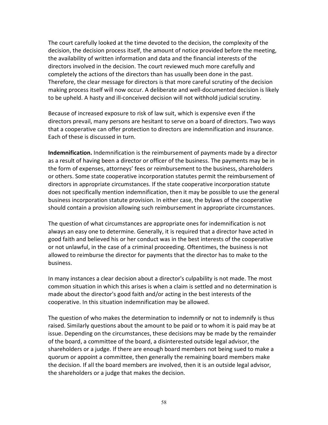The court carefully looked at the time devoted to the decision, the complexity of the decision, the decision process itself, the amount of notice provided before the meeting, the availability of written information and data and the financial interests of the directors involved in the decision. The court reviewed much more carefully and completely the actions of the directors than has usually been done in the past. Therefore, the clear message for directors is that more careful scrutiny of the decision making process itself will now occur. A deliberate and well-documented decision is likely to be upheld. A hasty and ill‐conceived decision will not withhold judicial scrutiny.

Because of increased exposure to risk of law suit, which is expensive even if the directors prevail, many persons are hesitant to serve on a board of directors. Two ways that a cooperative can offer protection to directors are indemnification and insurance. Each of these is discussed in turn.

**Indemnification.** Indemnification is the reimbursement of payments made by a director as a result of having been a director or officer of the business. The payments may be in the form of expenses, attorneys' fees or reimbursement to the business, shareholders or others. Some state cooperative incorporation statutes permit the reimbursement of directors in appropriate circumstances. If the state cooperative incorporation statute does not specifically mention indemnification, then it may be possible to use the general business incorporation statute provision. In either case, the bylaws of the cooperative should contain a provision allowing such reimbursement in appropriate circumstances.

The question of what circumstances are appropriate ones for indemnification is not always an easy one to determine. Generally, it is required that a director have acted in good faith and believed his or her conduct was in the best interests of the cooperative or not unlawful, in the case of a criminal proceeding. Oftentimes, the business is not allowed to reimburse the director for payments that the director has to make to the business.

In many instances a clear decision about a director's culpability is not made. The most common situation in which this arises is when a claim is settled and no determination is made about the director's good faith and/or acting in the best interests of the cooperative. In this situation indemnification may be allowed.

The question of who makes the determination to indemnify or not to indemnify is thus raised. Similarly questions about the amount to be paid or to whom it is paid may be at issue. Depending on the circumstances, these decisions may be made by the remainder of the board, a committee of the board, a disinterested outside legal advisor, the shareholders or a judge. If there are enough board members not being sued to make a quorum or appoint a committee, then generally the remaining board members make the decision. If all the board members are involved, then it is an outside legal advisor, the shareholders or a judge that makes the decision.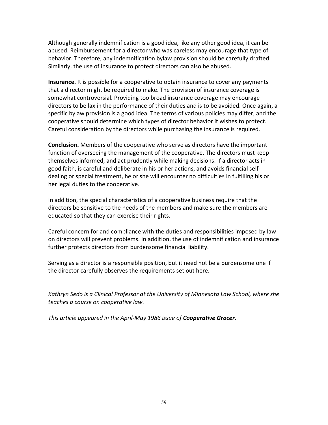Although generally indemnification is a good idea, like any other good idea, it can be abused. Reimbursement for a director who was careless may encourage that type of behavior. Therefore, any indemnification bylaw provision should be carefully drafted. Similarly, the use of insurance to protect directors can also be abused.

**Insurance.** It is possible for a cooperative to obtain insurance to cover any payments that a director might be required to make. The provision of insurance coverage is somewhat controversial. Providing too broad insurance coverage may encourage directors to be lax in the performance of their duties and is to be avoided. Once again, a specific bylaw provision is a good idea. The terms of various policies may differ, and the cooperative should determine which types of director behavior it wishes to protect. Careful consideration by the directors while purchasing the insurance is required.

**Conclusion.** Members of the cooperative who serve as directors have the important function of overseeing the management of the cooperative. The directors must keep themselves informed, and act prudently while making decisions. If a director acts in good faith, is careful and deliberate in his or her actions, and avoids financial self‐ dealing or special treatment, he or she will encounter no difficulties in fulfilling his or her legal duties to the cooperative.

In addition, the special characteristics of a cooperative business require that the directors be sensitive to the needs of the members and make sure the members are educated so that they can exercise their rights.

Careful concern for and compliance with the duties and responsibilities imposed by law on directors will prevent problems. In addition, the use of indemnification and insurance further protects directors from burdensome financial liability.

Serving as a director is a responsible position, but it need not be a burdensome one if the director carefully observes the requirements set out here.

*Kathryn Sedo is a Clinical Professor at the University of Minnesota Law School, where she teaches a course on cooperative law.*

*This article appeared in the April‐May 1986 issue of Cooperative Grocer.*